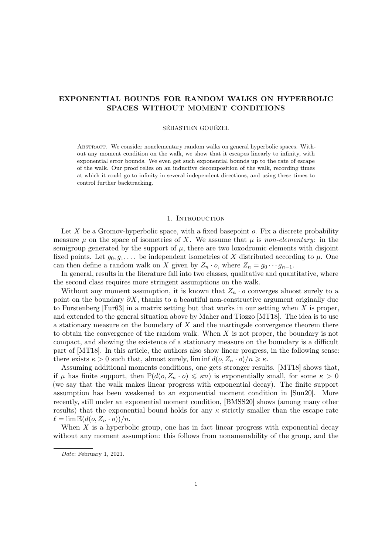# <span id="page-0-0"></span>EXPONENTIAL BOUNDS FOR RANDOM WALKS ON HYPERBOLIC SPACES WITHOUT MOMENT CONDITIONS

## SÉBASTIEN GOUËZEL

Abstract. We consider nonelementary random walks on general hyperbolic spaces. Without any moment condition on the walk, we show that it escapes linearly to infinity, with exponential error bounds. We even get such exponential bounds up to the rate of escape of the walk. Our proof relies on an inductive decomposition of the walk, recording times at which it could go to infinity in several independent directions, and using these times to control further backtracking.

## 1. INTRODUCTION

Let  $X$  be a Gromov-hyperbolic space, with a fixed basepoint  $o$ . Fix a discrete probability measure  $\mu$  on the space of isometries of X. We assume that  $\mu$  is non-elementary: in the semigroup generated by the support of  $\mu$ , there are two loxodromic elements with disjoint fixed points. Let  $g_0, g_1, \ldots$  be independent isometries of X distributed according to  $\mu$ . One can then define a random walk on X given by  $Z_n \cdot o$ , where  $Z_n = g_0 \cdots g_{n-1}$ .

In general, results in the literature fall into two classes, qualitative and quantitative, where the second class requires more stringent assumptions on the walk.

Without any moment assumption, it is known that  $Z_n \cdot o$  converges almost surely to a point on the boundary  $\partial X$ , thanks to a beautiful non-constructive argument originally due to Furstenberg [\[Fur63\]](#page-28-0) in a matrix setting but that works in our setting when X is proper, and extended to the general situation above by Maher and Tiozzo [\[MT18\]](#page-29-0). The idea is to use a stationary measure on the boundary of  $X$  and the martingale convergence theorem there to obtain the convergence of the random walk. When  $X$  is not proper, the boundary is not compact, and showing the existence of a stationary measure on the boundary is a difficult part of [\[MT18\]](#page-29-0). In this article, the authors also show linear progress, in the following sense: there exists  $\kappa > 0$  such that, almost surely,  $\liminf d(o, Z_n \cdot o)/n \geq \kappa$ .

Assuming additional moments conditions, one gets stronger results. [\[MT18\]](#page-29-0) shows that, if  $\mu$  has finite support, then  $\mathbb{P}(d(o, Z_n \cdot o) \leq \kappa n)$  is exponentially small, for some  $\kappa > 0$ (we say that the walk makes linear progress with exponential decay). The finite support assumption has been weakened to an exponential moment condition in [\[Sun20\]](#page-29-1). More recently, still under an exponential moment condition, [\[BMSS20\]](#page-28-1) shows (among many other results) that the exponential bound holds for any  $\kappa$  strictly smaller than the escape rate  $\ell = \lim \mathbb{E}(d(o, Z_n \cdot o))/n.$ 

When  $X$  is a hyperbolic group, one has in fact linear progress with exponential decay without any moment assumption: this follows from nonamenability of the group, and the

Date: February 1, 2021.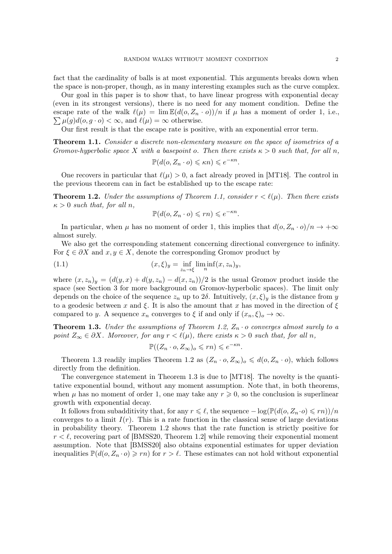<span id="page-1-4"></span>fact that the cardinality of balls is at most exponential. This arguments breaks down when the space is non-proper, though, as in many interesting examples such as the curve complex.

Our goal in this paper is to show that, to have linear progress with exponential decay (even in its strongest versions), there is no need for any moment condition. Define the escape rate of the walk  $\ell(\mu) = \lim \mathbb{E}(d(o, Z_n \cdot o))/n$  if  $\mu$  has a moment of order 1, i.e.,  $\sum \mu(g)d(o, g \cdot o) < \infty$ , and  $\ell(\mu) = \infty$  otherwise.

Our first result is that the escape rate is positive, with an exponential error term.

<span id="page-1-0"></span>**Theorem 1.1.** Consider a discrete non-elementary measure on the space of isometries of a Gromov-hyperbolic space X with a basepoint o. Then there exists  $\kappa > 0$  such that, for all n,

$$
\mathbb{P}(d(o, Z_n \cdot o) \leqslant \kappa n) \leqslant e^{-\kappa n}.
$$

One recovers in particular that  $\ell(\mu) > 0$ , a fact already proved in [\[MT18\]](#page-29-0). The control in the previous theorem can in fact be established up to the escape rate:

<span id="page-1-1"></span>**Theorem 1.2.** Under the assumptions of Theorem [1.1,](#page-1-0) consider  $r < l(\mu)$ . Then there exists  $\kappa > 0$  such that, for all n,

<span id="page-1-3"></span>
$$
\mathbb{P}(d(o, Z_n \cdot o) \leqslant rn) \leqslant e^{-\kappa n}.
$$

In particular, when  $\mu$  has no moment of order 1, this implies that  $d(o, Z_n \cdot o)/n \to +\infty$ almost surely.

We also get the corresponding statement concerning directional convergence to infinity. For  $\xi \in \partial X$  and  $x, y \in X$ , denote the corresponding Gromov product by

(1.1) 
$$
(x,\xi)_y = \inf_{z_n \to \xi} \liminf_n (x,z_n)_y,
$$

where  $(x, z_n)_y = (d(y, x) + d(y, z_n) - d(x, z_n))/2$  is the usual Gromov product inside the space (see Section [3](#page-6-0) for more background on Gromov-hyperbolic spaces). The limit only depends on the choice of the sequence  $z_n$  up to  $2\delta$ . Intuitively,  $(x,\xi)_y$  is the distance from y to a geodesic between x and  $\xi$ . It is also the amount that x has moved in the direction of  $\xi$ compared to y. A sequence  $x_n$  converges to  $\xi$  if and only if  $(x_n, \xi)_o \to \infty$ .

<span id="page-1-2"></span>**Theorem 1.3.** Under the assumptions of Theorem [1.2,](#page-1-1)  $Z_n \cdot o$  converges almost surely to a point  $Z_{\infty} \in \partial X$ . Moreover, for any  $r < \ell(\mu)$ , there exists  $\kappa > 0$  such that, for all n,

$$
\mathbb{P}((Z_n \cdot o, Z_{\infty})_o \leqslant rn) \leqslant e^{-\kappa n}.
$$

Theorem [1.3](#page-1-2) readily implies Theorem [1.2](#page-1-1) as  $(Z_n \cdot o, Z_\infty)_o \leq d(o, Z_n \cdot o)$ , which follows directly from the definition.

The convergence statement in Theorem [1.3](#page-1-2) is due to [\[MT18\]](#page-29-0). The novelty is the quantitative exponential bound, without any moment assumption. Note that, in both theorems, when  $\mu$  has no moment of order 1, one may take any  $r \geq 0$ , so the conclusion is superlinear growth with exponential decay.

It follows from subadditivity that, for any  $r \leq \ell$ , the sequence  $-\log(\mathbb{P}(d(o, Z_n \cdot o) \leq rn))/n$ converges to a limit  $I(r)$ . This is a rate function in the classical sense of large deviations in probability theory. Theorem [1.2](#page-1-1) shows that the rate function is strictly positive for  $r < \ell$ , recovering part of [\[BMSS20,](#page-28-1) Theorem 1.2] while removing their exponential moment assumption. Note that [\[BMSS20\]](#page-28-1) also obtains exponential estimates for upper deviation inequalities  $\mathbb{P}(d(o, Z_n \cdot o) \geqslant rn)$  for  $r > l$ . These estimates can not hold without exponential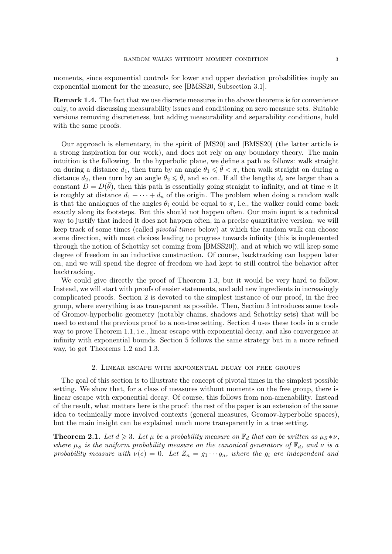<span id="page-2-2"></span>moments, since exponential controls for lower and upper deviation probabilities imply an exponential moment for the measure, see [\[BMSS20,](#page-28-1) Subsection 3.1].

Remark 1.4. The fact that we use discrete measures in the above theorems is for convenience only, to avoid discussing measurability issues and conditioning on zero measure sets. Suitable versions removing discreteness, but adding measurability and separability conditions, hold with the same proofs.

Our approach is elementary, in the spirit of [\[MS20\]](#page-29-2) and [\[BMSS20\]](#page-28-1) (the latter article is a strong inspiration for our work), and does not rely on any boundary theory. The main intuition is the following. In the hyperbolic plane, we define a path as follows: walk straight on during a distance  $d_1$ , then turn by an angle  $\theta_1 \leq \bar{\theta} < \pi$ , then walk straight on during a distance  $d_2$ , then turn by an angle  $\theta_2 \leq \bar{\theta}$ , and so on. If all the lengths  $d_i$  are larger than a constant  $\overline{D} = D(\overline{\theta})$ , then this path is essentially going straight to infinity, and at time *n* it is roughly at distance  $d_1 + \cdots + d_n$  of the origin. The problem when doing a random walk is that the analogues of the angles  $\theta_i$  could be equal to  $\pi$ , i.e., the walker could come back exactly along its footsteps. But this should not happen often. Our main input is a technical way to justify that indeed it does not happen often, in a precise quantitative version: we will keep track of some times (called pivotal times below) at which the random walk can choose some direction, with most choices leading to progress towards infinity (this is implemented through the notion of Schottky set coming from [\[BMSS20\]](#page-28-1)), and at which we will keep some degree of freedom in an inductive construction. Of course, backtracking can happen later on, and we will spend the degree of freedom we had kept to still control the behavior after backtracking.

We could give directly the proof of Theorem [1.3,](#page-1-2) but it would be very hard to follow. Instead, we will start with proofs of easier statements, and add new ingredients in increasingly complicated proofs. Section [2](#page-2-0) is devoted to the simplest instance of our proof, in the free group, where everything is as transparent as possible. Then, Section [3](#page-6-0) introduces some tools of Gromov-hyperbolic geometry (notably chains, shadows and Schottky sets) that will be used to extend the previous proof to a non-tree setting. Section [4](#page-10-0) uses these tools in a crude way to prove Theorem [1.1,](#page-1-0) i.e., linear escape with exponential decay, and also convergence at infinity with exponential bounds. Section [5](#page-17-0) follows the same strategy but in a more refined way, to get Theorems [1.2](#page-1-1) and [1.3.](#page-1-2)

#### 2. Linear escape with exponential decay on free groups

<span id="page-2-0"></span>The goal of this section is to illustrate the concept of pivotal times in the simplest possible setting. We show that, for a class of measures without moments on the free group, there is linear escape with exponential decay. Of course, this follows from non-amenability. Instead of the result, what matters here is the proof: the rest of the paper is an extension of the same idea to technically more involved contexts (general measures, Gromov-hyperbolic spaces), but the main insight can be explained much more transparently in a tree setting.

<span id="page-2-1"></span>**Theorem 2.1.** Let  $d \geq 3$ . Let  $\mu$  be a probability measure on  $\mathbb{F}_d$  that can be written as  $\mu_S * \nu$ , where  $\mu_S$  is the uniform probability measure on the canonical generators of  $\mathbb{F}_d$ , and  $\nu$  is a probability measure with  $\nu(e) = 0$ . Let  $Z_n = g_1 \cdots g_n$ , where the  $g_i$  are independent and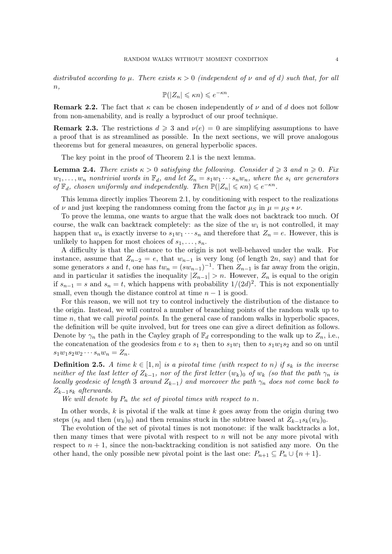distributed according to  $\mu$ . There exists  $\kappa > 0$  (independent of  $\nu$  and of d) such that, for all  $n,$ 

$$
\mathbb{P}(|Z_n| \leq \kappa n) \leq e^{-\kappa n}.
$$

**Remark 2.2.** The fact that  $\kappa$  can be chosen independently of  $\nu$  and of d does not follow from non-amenability, and is really a byproduct of our proof technique.

**Remark 2.3.** The restrictions  $d \geq 3$  and  $\nu(e) = 0$  are simplifying assumptions to have a proof that is as streamlined as possible. In the next sections, we will prove analogous theorems but for general measures, on general hyperbolic spaces.

The key point in the proof of Theorem [2.1](#page-2-1) is the next lemma.

<span id="page-3-0"></span>**Lemma 2.4.** There exists  $\kappa > 0$  satisfying the following. Consider  $d \geq 3$  and  $n \geq 0$ . Fix  $w_1, \ldots, w_n$  nontrivial words in  $\mathbb{F}_d$ , and let  $Z_n = s_1w_1 \cdots s_nw_n$ , where the  $s_i$  are generators of  $\mathbb{F}_d$ , chosen uniformly and independently. Then  $\mathbb{P}(|Z_n| \leq \kappa n) \leq e^{-\kappa n}$ .

This lemma directly implies Theorem [2.1,](#page-2-1) by conditioning with respect to the realizations of  $\nu$  and just keeping the randomness coming from the factor  $\mu_S$  in  $\mu = \mu_S * \nu$ .

To prove the lemma, one wants to argue that the walk does not backtrack too much. Of course, the walk can backtrack completely: as the size of the  $w_i$  is not controlled, it may happen that  $w_n$  is exactly inverse to  $s_1w_1\cdots s_n$  and therefore that  $Z_n = e$ . However, this is unlikely to happen for most choices of  $s_1, \ldots, s_n$ .

A difficulty is that the distance to the origin is not well-behaved under the walk. For instance, assume that  $Z_{n-2} = e$ , that  $w_{n-1}$  is very long (of length 2n, say) and that for some generators s and t, one has  $tw_n = (sw_{n-1})^{-1}$ . Then  $Z_{n-1}$  is far away from the origin, and in particular it satisfies the inequality  $|Z_{n-1}| > n$ . However,  $Z_n$  is equal to the origin if  $s_{n-1} = s$  and  $s_n = t$ , which happens with probability  $1/(2d)^2$ . This is not exponentially small, even though the distance control at time  $n-1$  is good.

For this reason, we will not try to control inductively the distribution of the distance to the origin. Instead, we will control a number of branching points of the random walk up to time  $n$ , that we call *pivotal points*. In the general case of random walks in hyperbolic spaces, the definition will be quite involved, but for trees one can give a direct definition as follows. Denote by  $\gamma_n$  the path in the Cayley graph of  $\mathbb{F}_d$  corresponding to the walk up to  $Z_n$ , i.e., the concatenation of the geodesics from e to  $s_1$  then to  $s_1w_1$  then to  $s_1w_1s_2$  and so on until  $s_1w_1s_2w_2\cdots s_nw_n=Z_n.$ 

**Definition 2.5.** A time  $k \in [1, n]$  is a pivotal time (with respect to n) if  $s_k$  is the inverse neither of the last letter of  $Z_{k-1}$ , nor of the first letter  $(w_k)_0$  of  $w_k$  (so that the path  $\gamma_n$  is locally geodesic of length 3 around  $Z_{k-1}$ ) and moreover the path  $\gamma_n$  does not come back to  $Z_{k-1}$ s<sub>k</sub> afterwards.

We will denote by  $P_n$  the set of pivotal times with respect to n.

In other words,  $k$  is pivotal if the walk at time  $k$  goes away from the origin during two steps  $(s_k$  and then  $(w_k)_0$  and then remains stuck in the subtree based at  $Z_{k-1}s_k(w_k)_0$ .

The evolution of the set of pivotal times is not monotone: if the walk backtracks a lot, then many times that were pivotal with respect to  $n$  will not be any more pivotal with respect to  $n + 1$ , since the non-backtracking condition is not satisfied any more. On the other hand, the only possible new pivotal point is the last one:  $P_{n+1} \subseteq P_n \cup \{n+1\}$ .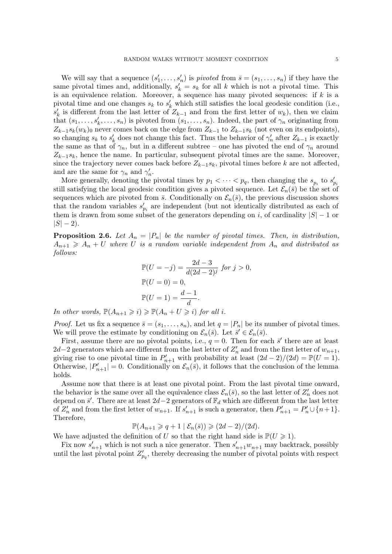We will say that a sequence  $(s'_1, \ldots, s'_n)$  is *pivoted* from  $\bar{s} = (s_1, \ldots, s_n)$  if they have the same pivotal times and, additionally,  $s'_k = s_k$  for all k which is not a pivotal time. This is an equivalence relation. Moreover, a sequence has many pivoted sequences: if  $k$  is a pivotal time and one changes  $s_k$  to  $s'_k$  which still satisfies the local geodesic condition (i.e.,  $s'_{k}$  is different from the last letter of  $Z_{k-1}$  and from the first letter of  $w_{k}$ ), then we claim that  $(s_1, \ldots, s_k', \ldots, s_n)$  is pivoted from  $(s_1, \ldots, s_n)$ . Indeed, the part of  $\gamma_n$  originating from  $Z_{k-1} s_k(w_k)$  never comes back on the edge from  $Z_{k-1}$  to  $Z_{k-1} s_k$  (not even on its endpoints), so changing  $s_k$  to  $s'_k$  does not change this fact. Thus the behavior of  $\gamma'_n$  after  $Z_{k-1}$  is exactly the same as that of  $\gamma_n$ , but in a different subtree – one has pivoted the end of  $\gamma_n$  around  $Z_{k-1}s_k$ , hence the name. In particular, subsequent pivotal times are the same. Moreover, since the trajectory never comes back before  $Z_{k-1}s_k$ , pivotal times before k are not affected, and are the same for  $\gamma_n$  and  $\gamma'_n$ .

More generally, denoting the pivotal times by  $p_1 < \cdots < p_q$ , then changing the  $s_{p_i}$  to  $s'_{p_i}$ still satisfying the local geodesic condition gives a pivoted sequence. Let  $\mathcal{E}_n(\bar{s})$  be the set of sequences which are pivoted from  $\bar{s}$ . Conditionally on  $\mathcal{E}_n(\bar{s})$ , the previous discussion shows that the random variables  $s'_{p_i}$  are independent (but not identically distributed as each of them is drawn from some subset of the generators depending on i, of cardinality  $|S| - 1$  or  $|S| - 2$ ).

<span id="page-4-0"></span>**Proposition 2.6.** Let  $A_n = |P_n|$  be the number of pivotal times. Then, in distribution,  $A_{n+1} \geq A_n + U$  where U is a random variable independent from  $A_n$  and distributed as follows:

$$
\mathbb{P}(U = -j) = \frac{2d - 3}{d(2d - 2)^j} \text{ for } j > 0,
$$
  

$$
\mathbb{P}(U = 0) = 0,
$$
  

$$
\mathbb{P}(U = 1) = \frac{d - 1}{d}.
$$

In other words,  $\mathbb{P}(A_{n+1} \geq i) \geq \mathbb{P}(A_n + U \geq i)$  for all i.

*Proof.* Let us fix a sequence  $\bar{s} = (s_1, \ldots, s_n)$ , and let  $q = |P_n|$  be its number of pivotal times. We will prove the estimate by conditioning on  $\mathcal{E}_n(\bar{s})$ . Let  $\bar{s}' \in \mathcal{E}_n(\bar{s})$ .

First, assume there are no pivotal points, i.e.,  $q = 0$ . Then for each  $\bar{s}'$  there are at least 2d−2 generators which are different from the last letter of  $Z'_n$  and from the first letter of  $w_{n+1}$ , giving rise to one pivotal time in  $P'_{n+1}$  with probability at least  $(2d-2)/(2d) = \mathbb{P}(U = 1)$ . Otherwise,  $|P'_{n+1}| = 0$ . Conditionally on  $\mathcal{E}_n(\bar{s})$ , it follows that the conclusion of the lemma holds.

Assume now that there is at least one pivotal point. From the last pivotal time onward, the behavior is the same over all the equivalence class  $\mathcal{E}_n(\bar{s})$ , so the last letter of  $Z'_n$  does not depend on  $\bar{s}'$ . There are at least 2d−2 generators of  $\mathbb{F}_d$  which are different from the last letter of  $Z'_n$  and from the first letter of  $w_{n+1}$ . If  $s'_{n+1}$  is such a generator, then  $P'_{n+1} = P'_n \cup \{n+1\}$ . Therefore,

 $\mathbb{P}(A_{n+1}\geqslant q+1\mid\mathcal{E}_n(\bar{s}))\geqslant (2d-2)/(2d).$ 

We have adjusted the definition of U so that the right hand side is  $\mathbb{P}(U \geq 1)$ .

Fix now  $s'_{n+1}$  which is not such a nice generator. Then  $s'_{n+1}w_{n+1}$  may backtrack, possibly until the last pivotal point  $Z'_{p,q}$ , thereby decreasing the number of pivotal points with respect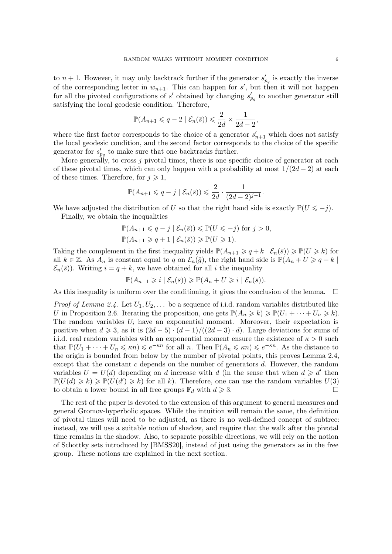<span id="page-5-0"></span>to  $n+1$ . However, it may only backtrack further if the generator  $s'_{p_q}$  is exactly the inverse of the corresponding letter in  $w_{n+1}$ . This can happen for s', but then it will not happen for all the pivoted configurations of s' obtained by changing  $s'_{pq}$  to another generator still satisfying the local geodesic condition. Therefore,

$$
\mathbb{P}(A_{n+1}\leqslant q-2 \mid \mathcal{E}_n(\bar{s}))\leqslant \frac{2}{2d}\times \frac{1}{2d-2},
$$

where the first factor corresponds to the choice of a generator  $s'_{n+1}$  which does not satisfy the local geodesic condition, and the second factor corresponds to the choice of the specific generator for  $s'_{p_q}$  to make sure that one backtracks further.

More generally, to cross  $j$  pivotal times, there is one specific choice of generator at each of these pivotal times, which can only happen with a probability at most  $1/(2d-2)$  at each of these times. Therefore, for  $j \geq 1$ ,

$$
\mathbb{P}(A_{n+1}\leqslant q-j\mid \mathcal{E}_n(\bar{s}))\leqslant \frac{2}{2d}\cdot \frac{1}{(2d-2)^{j-1}}.
$$

We have adjusted the distribution of U so that the right hand side is exactly  $\mathbb{P}(U \leq -j)$ . Finally, we obtain the inequalities

$$
\mathbb{P}(A_{n+1} \leq q - j \mid \mathcal{E}_n(\bar{s})) \leq \mathbb{P}(U \leq -j) \text{ for } j > 0,
$$
  

$$
\mathbb{P}(A_{n+1} \geq q + 1 \mid \mathcal{E}_n(\bar{s})) \geq \mathbb{P}(U \geq 1).
$$

Taking the complement in the first inequality yields  $\mathbb{P}(A_{n+1} \geq q + k | \mathcal{E}_n(\bar{s})) \geq \mathbb{P}(U \geq k)$  for all  $k \in \mathbb{Z}$ . As  $A_n$  is constant equal to q on  $\mathcal{E}_n(\bar{g})$ , the right hand side is  $\mathbb{P}(A_n + U \geq q + k)$  $\mathcal{E}_n(\bar{s})$ . Writing  $i = q + k$ , we have obtained for all i the inequality

$$
\mathbb{P}(A_{n+1}\geqslant i\mid \mathcal{E}_n(\bar{s}))\geqslant \mathbb{P}(A_n+U\geqslant i\mid \mathcal{E}_n(\bar{s})).
$$

As this inequality is uniform over the conditioning, it gives the conclusion of the lemma.  $\Box$ 

*Proof of Lemma [2.4.](#page-3-0)* Let  $U_1, U_2, \ldots$  be a sequence of i.i.d. random variables distributed like U in Proposition [2.6.](#page-4-0) Iterating the proposition, one gets  $\mathbb{P}(A_n \geq k) \geq \mathbb{P}(U_1 + \cdots + U_n \geq k)$ . The random variables  $U_i$  have an exponential moment. Moreover, their expectation is positive when  $d \ge 3$ , as it is  $(2d-5) \cdot (d-1)/((2d-3) \cdot d)$ . Large deviations for sums of i.i.d. real random variables with an exponential moment ensure the existence of  $\kappa > 0$  such that  $\mathbb{P}(U_1 + \cdots + U_n \leq \kappa n) \leq e^{-\kappa n}$  for all n. Then  $\mathbb{P}(A_n \leq \kappa n) \leq e^{-\kappa n}$ . As the distance to the origin is bounded from below by the number of pivotal points, this proves Lemma [2.4,](#page-3-0) except that the constant  $c$  depends on the number of generators  $d$ . However, the random variables  $U = U(d)$  depending on d increase with d (in the sense that when  $d \geq d'$  then  $\mathbb{P}(U(d) \geq k) \geq \mathbb{P}(U(d') \geq k)$  for all k). Therefore, one can use the random variables  $U(3)$ to obtain a lower bound in all free groups  $\mathbb{F}_d$  with  $d \geq 3$ .

The rest of the paper is devoted to the extension of this argument to general measures and general Gromov-hyperbolic spaces. While the intuition will remain the same, the definition of pivotal times will need to be adjusted, as there is no well-defined concept of subtree: instead, we will use a suitable notion of shadow, and require that the walk after the pivotal time remains in the shadow. Also, to separate possible directions, we will rely on the notion of Schottky sets introduced by [\[BMSS20\]](#page-28-1), instead of just using the generators as in the free group. These notions are explained in the next section.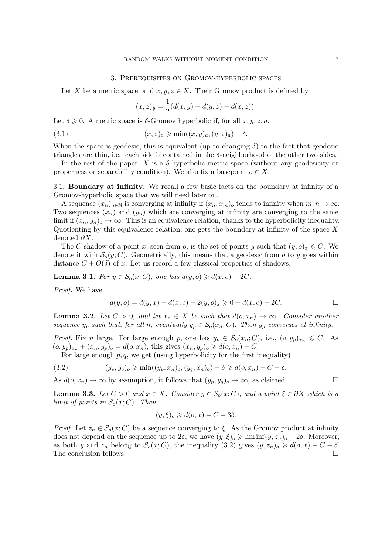#### 3. Prerequisites on Gromov-hyperbolic spaces

<span id="page-6-0"></span>Let X be a metric space, and  $x, y, z \in X$ . Their Gromov product is defined by

<span id="page-6-2"></span>
$$
(x, z)y = \frac{1}{2}(d(x, y) + d(y, z) - d(x, z)).
$$

Let  $\delta \geq 0$ . A metric space is  $\delta$ -Gromov hyperbolic if, for all  $x, y, z, a$ ,

(3.1) 
$$
(x, z)_a \geqslant \min((x, y)_a, (y, z)_a) - \delta.
$$

When the space is geodesic, this is equivalent (up to changing  $\delta$ ) to the fact that geodesic triangles are thin, i.e., each side is contained in the  $\delta$ -neighborhood of the other two sides.

In the rest of the paper,  $X$  is a  $\delta$ -hyperbolic metric space (without any geodesicity or properness or separability condition). We also fix a basepoint  $o \in X$ .

3.1. Boundary at infinity. We recall a few basic facts on the boundary at infinity of a Gromov-hyperbolic space that we will need later on.

A sequence  $(x_n)_{n\in\mathbb{N}}$  is converging at infinity if  $(x_n, x_m)$  tends to infinity when  $m, n \to \infty$ . Two sequences  $(x_n)$  and  $(y_n)$  which are converging at infinity are converging to the same limit if  $(x_n, y_n)$ <sub>o</sub>  $\to \infty$ . This is an equivalence relation, thanks to the hyperbolicity inequality. Quotienting by this equivalence relation, one gets the boundary at infinity of the space  $X$ denoted  $\partial X$ .

The C-shadow of a point x, seen from o, is the set of points y such that  $(y, o)_x \leq C$ . We denote it with  $\mathcal{S}_o(y;C)$ . Geometrically, this means that a geodesic from o to y goes within distance  $C + O(\delta)$  of x. Let us record a few classical properties of shadows.

<span id="page-6-5"></span>**Lemma 3.1.** For  $y \in S_o(x; C)$ , one has  $d(y, o) \geq d(x, o) - 2C$ .

Proof. We have

$$
d(y, o) = d(y, x) + d(x, o) - 2(y, o)_x \ge 0 + d(x, o) - 2C.
$$

<span id="page-6-3"></span>**Lemma 3.2.** Let  $C > 0$ , and let  $x_n \in X$  be such that  $d(o, x_n) \to \infty$ . Consider another sequence  $y_p$  such that, for all n, eventually  $y_p \in S_o(x_n; C)$ . Then  $y_p$  converges at infinity.

*Proof.* Fix n large. For large enough p, one has  $y_p \in S_o(x_n; C)$ , i.e.,  $(o, y_p)_{x_n} \leq C$ . As  $(o, y_p)_{x_n} + (x_n, y_p)_{o} = d(o, x_n)$ , this gives  $(x_n, y_p)_{o} \geq d(o, x_n) - C$ .

For large enough  $p, q$ , we get (using hyperbolicity for the first inequality)

<span id="page-6-1"></span>(3.2) 
$$
(y_p, y_q)_o \ge \min((y_p, x_n)_o, (y_q, x_n)_o) - \delta \ge d(o, x_n) - C - \delta.
$$

As  $d(o, x_n) \to \infty$  by assumption, it follows that  $(y_p, y_q)_o \to \infty$ , as claimed.

<span id="page-6-4"></span>**Lemma 3.3.** Let  $C > 0$  and  $x \in X$ . Consider  $y \in S_o(x; C)$ , and a point  $\xi \in \partial X$  which is a limit of points in  $\mathcal{S}_o(x;C)$ . Then

$$
(y,\xi)_o \geq d(o,x) - C - 3\delta.
$$

*Proof.* Let  $z_n \in \mathcal{S}_o(x; C)$  be a sequence converging to  $\xi$ . As the Gromov product at infinity does not depend on the sequence up to  $2\delta$ , we have  $(y,\xi)_o \geq \liminf(y,z_n)_o - 2\delta$ . Moreover, as both y and  $z_n$  belong to  $\mathcal{S}_o(x; C)$ , the inequality  $(3.2)$  gives  $(y, z_n)_o \geq d(o, x) - C - \delta$ . The conclusion follows.  $\Box$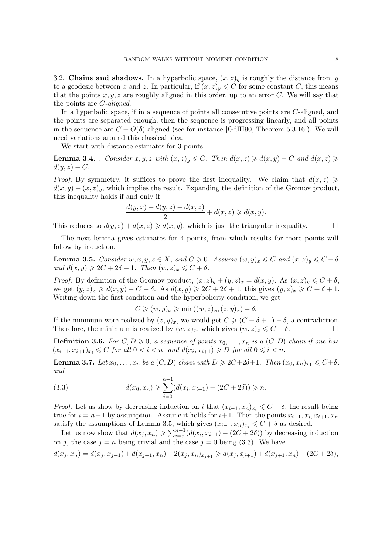<span id="page-7-5"></span><span id="page-7-4"></span>3.2. Chains and shadows. In a hyperbolic space,  $(x, z)_y$  is roughly the distance from y to a geodesic between x and z. In particular, if  $(x, z)_y \leq C$  for some constant C, this means that the points  $x, y, z$  are roughly aligned in this order, up to an error C. We will say that the points are C-aligned.

In a hyperbolic space, if in a sequence of points all consecutive points are C-aligned, and the points are separated enough, then the sequence is progressing linearly, and all points in the sequence are  $C + O(\delta)$ -aligned (see for instance [\[GdlH90,](#page-29-3) Theorem 5.3.16]). We will need variations around this classical idea.

We start with distance estimates for 3 points.

<span id="page-7-3"></span>**Lemma 3.4.** . Consider  $x, y, z$  with  $(x, z)_y \leq C$ . Then  $d(x, z) \geq d(x, y) - C$  and  $d(x, z) \geq$  $d(y, z) - C.$ 

*Proof.* By symmetry, it suffices to prove the first inequality. We claim that  $d(x, z) \geq$  $d(x, y) - (x, z)<sub>y</sub>$ , which implies the result. Expanding the definition of the Gromov product, this inequality holds if and only if

$$
\frac{d(y,x) + d(y,z) - d(x,z)}{2} + d(x,z) \ge d(x,y).
$$

This reduces to  $d(y, z) + d(x, z) \ge d(x, y)$ , which is just the triangular inequality.

The next lemma gives estimates for 4 points, from which results for more points will follow by induction.

<span id="page-7-0"></span>**Lemma 3.5.** Consider  $w, x, y, z \in X$ , and  $C \ge 0$ . Assume  $(w, y)_x \le C$  and  $(x, z)_y \le C + \delta$ and  $d(x, y) \geqslant 2C + 2\delta + 1$ . Then  $(w, z)_x \leqslant C + \delta$ .

*Proof.* By definition of the Gromov product,  $(x, z)_y + (y, z)_x = d(x, y)$ . As  $(x, z)_y \leq C + \delta$ , we get  $(y, z)_x \geq d(x, y) - C - \delta$ . As  $d(x, y) \geq 2C + 2\delta + 1$ , this gives  $(y, z)_x \geq C + \delta + 1$ . Writing down the first condition and the hyperbolicity condition, we get

$$
C \geqslant (w, y)_x \geqslant \min((w, z)_x, (z, y)_x) - \delta.
$$

If the minimum were realized by  $(z, y)_x$ , we would get  $C \geq C + \delta + 1 - \delta$ , a contradiction. Therefore, the minimum is realized by  $(w, z)_x$ , which gives  $(w, z)_x \leq C + \delta$ .

**Definition 3.6.** For  $C, D \geq 0$ , a sequence of points  $x_0, \ldots, x_n$  is a  $(C, D)$ -chain if one has  $(x_{i-1}, x_{i+1})_{x_i} \leqslant C$  for all  $0 < i < n$ , and  $d(x_i, x_{i+1}) \geqslant D$  for all  $0 \leqslant i < n$ .

<span id="page-7-2"></span>**Lemma 3.7.** Let  $x_0, \ldots, x_n$  be a  $(C, D)$  chain with  $D \geq 2C+2\delta+1$ . Then  $(x_0, x_n)_{x_1} \leq C+\delta$ , and

<span id="page-7-1"></span>(3.3) 
$$
d(x_0, x_n) \geqslant \sum_{i=0}^{n-1} (d(x_i, x_{i+1}) - (2C + 2\delta)) \geqslant n.
$$

*Proof.* Let us show by decreasing induction on i that  $(x_{i-1}, x_n)_{x_i} \leq C + \delta$ , the result being true for  $i = n-1$  by assumption. Assume it holds for  $i+1$ . Then the points  $x_{i-1}, x_i, x_{i+1}, x_n$ satisfy the assumptions of Lemma [3.5,](#page-7-0) which gives  $(x_{i-1}, x_n)_{x_i} \leq C + \delta$  as desired.

Let us now show that  $d(x_j, x_n) \geqslant \sum_{i=j}^{n-1} (d(x_i, x_{i+1}) - (2C + 2\delta))$  by decreasing induction on j, the case  $j = n$  being trivial and the case  $j = 0$  being [\(3.3\)](#page-7-1). We have

$$
d(x_j, x_n) = d(x_j, x_{j+1}) + d(x_{j+1}, x_n) - 2(x_j, x_n)_{x_{j+1}} \ge d(x_j, x_{j+1}) + d(x_{j+1}, x_n) - (2C + 2\delta),
$$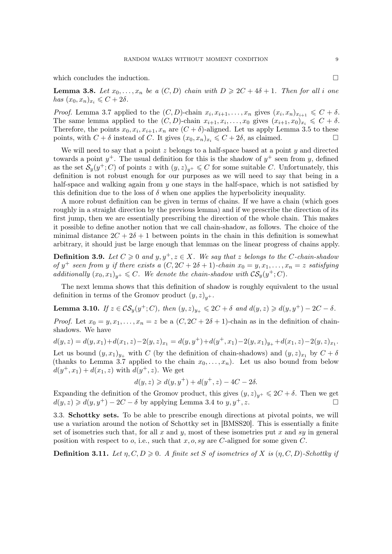<span id="page-8-2"></span>which concludes the induction.

<span id="page-8-1"></span>**Lemma 3.8.** Let  $x_0, \ldots, x_n$  be a  $(C, D)$  chain with  $D \geq 2C + 4\delta + 1$ . Then for all i one has  $(x_0, x_n)_{x_i} \leqslant C + 2\delta$ .

*Proof.* Lemma [3.7](#page-7-2) applied to the  $(C, D)$ -chain  $x_i, x_{i+1}, \ldots, x_n$  gives  $(x_i, x_n)_{x_{i+1}} \leq C + \delta$ . The same lemma applied to the  $(C, D)$ -chain  $x_{i+1}, x_i, \ldots, x_0$  gives  $(x_{i+1}, x_0)_{x_i} \leq C + \delta$ . Therefore, the points  $x_0, x_i, x_{i+1}, x_n$  are  $(C + \delta)$ -aligned. Let us apply Lemma [3.5](#page-7-0) to these points, with  $C + \delta$  instead of C. It gives  $(x_0, x_n)_{x_i} \leq C + 2\delta$ , as claimed.

We will need to say that a point  $z$  belongs to a half-space based at a point  $y$  and directed towards a point  $y^+$ . The usual definition for this is the shadow of  $y^+$  seen from y, defined as the set  $\mathcal{S}_y(y^+; C)$  of points z with  $(y, z)_{y^+} \leqslant C$  for some suitable C. Unfortunately, this definition is not robust enough for our purposes as we will need to say that being in a half-space and walking again from  $y$  one stays in the half-space, which is not satisfied by this definition due to the loss of  $\delta$  when one applies the hyperbolicity inequality.

A more robust definition can be given in terms of chains. If we have a chain (which goes roughly in a straight direction by the previous lemma) and if we prescribe the direction of its first jump, then we are essentially prescribing the direction of the whole chain. This makes it possible to define another notion that we call chain-shadow, as follows. The choice of the minimal distance  $2C + 2\delta + 1$  between points in the chain in this definition is somewhat arbitrary, it should just be large enough that lemmas on the linear progress of chains apply.

**Definition 3.9.** Let  $C \ge 0$  and  $y, y^+, z \in X$ . We say that z belongs to the C-chain-shadow of  $y^+$  seen from y if there exists a  $(C, 2C + 2\delta + 1)$ -chain  $x_0 = y, x_1, \ldots, x_n = z$  satisfying additionally  $(x_0, x_1)_{y^+} \leqslant C$ . We denote the chain-shadow with  $\mathcal{CS}_y(y^+; C)$ .

The next lemma shows that this definition of shadow is roughly equivalent to the usual definition in terms of the Gromov product  $(y, z)_{y+}$ .

<span id="page-8-0"></span>**Lemma 3.10.** If  $z \in \mathcal{CS}_y(y^+; C)$ , then  $(y, z)_{y_+} \leq 2C + \delta$  and  $d(y, z) \geq d(y, y^+) - 2C - \delta$ .

*Proof.* Let  $x_0 = y, x_1, \ldots, x_n = z$  be a  $(C, 2C + 2\delta + 1)$ -chain as in the definition of chainshadows. We have

 $d(y, z) = d(y, x_1) + d(x_1, z) - 2(y, z)_{x_1} = d(y, y^+) + d(y^+, x_1) - 2(y, x_1)_{y_+} + d(x_1, z) - 2(y, z)_{x_1}.$ Let us bound  $(y, x_1)_{y_+}$  with C (by the definition of chain-shadows) and  $(y, z)_{x_1}$  by  $C + \delta$ (thanks to Lemma [3.7](#page-7-2) applied to the chain  $x_0, \ldots, x_n$ ). Let us also bound from below  $d(y^+, x_1) + d(x_1, z)$  with  $d(y^+, z)$ . We get

$$
d(y, z) \ge d(y, y^+) + d(y^+, z) - 4C - 2\delta.
$$

Expanding the definition of the Gromov product, this gives  $(y, z)_{y+} \leq 2C + \delta$ . Then we get  $d(y, z) \geq d(y, y^+) - 2C - \delta$  by applying Lemma [3.4](#page-7-3) to  $y, y^+, z$ .

3.3. Schottky sets. To be able to prescribe enough directions at pivotal points, we will use a variation around the notion of Schottky set in [\[BMSS20\]](#page-28-1). This is essentially a finite set of isometries such that, for all x and y, most of these isometries put x and sy in general position with respect to o, i.e., such that x, o, sy are C-aligned for some given C.

**Definition 3.11.** Let  $\eta, C, D \geq 0$ . A finite set S of isometries of X is  $(\eta, C, D)$ -Schottky if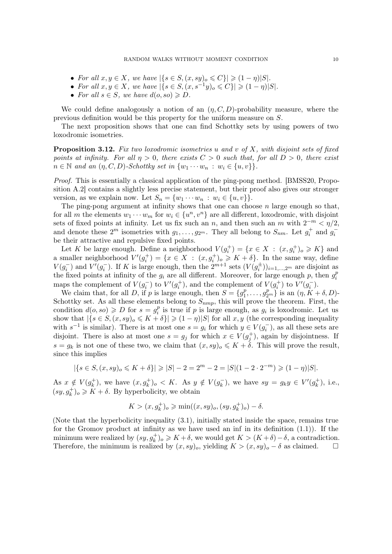- <span id="page-9-1"></span>• For all  $x, y \in X$ , we have  $|\{s \in S, (x, sy)_{o} \leq C\}| \geq (1 - \eta)|S|$ .
- For all  $x, y \in X$ , we have  $|\{s \in S, (x, s^{-1}y)_{o} \leq C\}| \geq (1 \eta)|S|$ .
- For all  $s \in S$ , we have  $d(o, so) \geq D$ .

We could define analogously a notion of an  $(\eta, C, D)$ -probability measure, where the previous definition would be this property for the uniform measure on S.

The next proposition shows that one can find Schottky sets by using powers of two loxodromic isometries.

<span id="page-9-0"></span>**Proposition 3.12.** Fix two loxodromic isometries u and v of X, with disjoint sets of fixed points at infinity. For all  $\eta > 0$ , there exists  $C > 0$  such that, for all  $D > 0$ , there exist  $n \in \mathbb{N}$  and an  $(\eta, C, D)$ -Schottky set in  $\{w_1 \cdots w_n : w_i \in \{u, v\}\}.$ 

Proof. This is essentially a classical application of the ping-pong method. [\[BMSS20,](#page-28-1) Proposition A.2] contains a slightly less precise statement, but their proof also gives our stronger version, as we explain now. Let  $S_n = \{w_1 \cdots w_n : w_i \in \{u, v\}\}.$ 

The ping-pong argument at infinity shows that one can choose  $n$  large enough so that, for all m the elements  $w_1 \cdots w_m$  for  $w_i \in \{u^n, v^n\}$  are all different, loxodromic, with disjoint sets of fixed points at infinity. Let us fix such an n, and then such an m with  $2^{-m} < \eta/2$ , and denote these  $2^m$  isometries with  $g_1, \ldots, g_{2^m}$ . They all belong to  $S_{nm}$ . Let  $g_i^+$  and  $g_i^$ be their attractive and repulsive fixed points.

Let K be large enough. Define a neighborhood  $V(g_i^+) = \{x \in X : (x, g_i^+)_{o} \geqslant K\}$  and a smaller neighborhood  $V'(g_i^+) = \{x \in X : (x, g_i^+)_{o} \geqslant K + \delta\}.$  In the same way, define  $V(g_i^-)$  and  $V'(g_i^-)$ . If K is large enough, then the  $2^{m+1}$  sets  $(V(g_i^{\pm}))_{i=1,\dots,2^m}$  are disjoint as the fixed points at infinity of the  $g_i$  are all different. Moreover, for large enough p, then  $g_i^p$ i maps the complement of  $V(g_i^-)$  to  $V'(g_i^+)$ , and the complement of  $V(g_i^+)$  to  $V'(g_i^-)$ .

We claim that, for all D, if p is large enough, then  $S = \{g_1^p\}$  $\{a_1^p,\ldots,a_{2^m}^p\}$  is an  $(\eta, K+\delta, D)$ -Schottky set. As all these elements belong to  $S_{nmp}$ , this will prove the theorem. First, the condition  $d(o, so) \geqslant D$  for  $s = g_i^p$  $i<sup>p</sup>$  is true if p is large enough, as  $g<sub>i</sub>$  is loxodromic. Let us show that  $|\{s \in S, (x, sy)_{o} \leq K + \delta\}| \geq (1 - \eta)|S|$  for all  $x, y$  (the corresponding inequality with  $s^{-1}$  is similar). There is at most one  $s = g_i$  for which  $y \in V(g_i^-)$ , as all these sets are disjoint. There is also at most one  $s = g_j$  for which  $x \in V(g_j^+)$ , again by disjointness. If  $s = g_k$  is not one of these two, we claim that  $(x, sy)_o \leq K + \delta$ . This will prove the result, since this implies

$$
|\{s \in S, (x, sy)_{o} \le K + \delta\}| \ge |S| - 2 = 2^m - 2 = |S|(1 - 2 \cdot 2^{-m}) \ge (1 - \eta)|S|.
$$

As  $x \notin V(g_k^+)$  $(k, k<sup>+</sup>)$ , we have  $(x, g<sub>k</sub><sup>+</sup>)<sub>o</sub> < K$ . As  $y \notin V(g<sub>k</sub><sup>-</sup>)$  $(\overline{k}_k)$ , we have  $sy = g_k y \in V'(g_k^+)$  $\binom{+}{k}$ , i.e.,  $(sy, g_k^+)$ <sub>o</sub>  $\geq K + \delta$ . By hyperbolicity, we obtain

$$
K > (x, g_k^+)_{o} \ge \min((x, sy)_{o}, (sy, g_k^+)_{o}) - \delta.
$$

(Note that the hyperbolicity inequality [\(3.1\)](#page-6-2), initially stated inside the space, remains true for the Gromov product at infinity as we have used an inf in its definition [\(1.1\)](#page-1-3)). If the minimum were realized by  $(sy, g_k^+)$ <sub>o</sub>  $\geq K + \delta$ , we would get  $K > (K + \delta) - \delta$ , a contradiction. Therefore, the minimum is realized by  $(x, sy)_{o}$ , yielding  $K > (x, sy)_{o} - \delta$  as claimed.  $\square$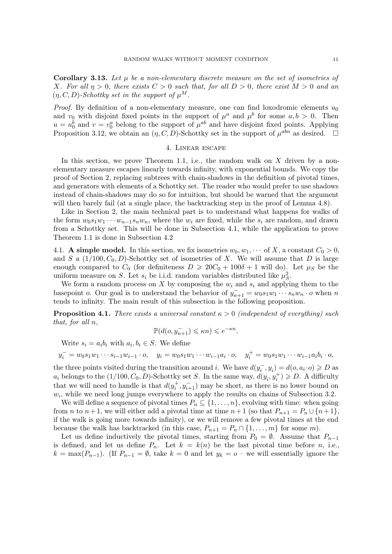<span id="page-10-3"></span>Corollary 3.13. Let  $\mu$  be a non-elementary discrete measure on the set of isometries of X. For all  $\eta > 0$ , there exists  $C > 0$  such that, for all  $D > 0$ , there exist  $M > 0$  and an  $(\eta, C, D)$ -Schottky set in the support of  $\mu^M$ .

*Proof.* By definition of a non-elementary measure, one can find loxodromic elements  $u_0$ and  $v_0$  with disjoint fixed points in the support of  $\mu^a$  and  $\mu^b$  for some  $a, b > 0$ . Then  $u = u_0^b$  and  $v = v_0^a$  belong to the support of  $\mu^{ab}$  and have disjoint fixed points. Applying Proposition [3.12,](#page-9-0) we obtain an  $(\eta, C, D)$ -Schottky set in the support of  $\mu^{abn}$  as desired.  $\Box$ 

#### 4. Linear escape

<span id="page-10-0"></span>In this section, we prove Theorem [1.1,](#page-1-0) i.e., the random walk on  $X$  driven by a nonelementary measure escapes linearly towards infinity, with exponential bounds. We copy the proof of Section [2,](#page-2-0) replacing subtrees with chain-shadows in the definition of pivotal times, and generators with elements of a Schottky set. The reader who would prefer to use shadows instead of chain-shadows may do so for intuition, but should be warned that the argument will then barely fail (at a single place, the backtracking step in the proof of Lemma [4.8\)](#page-13-0).

Like in Section [2,](#page-2-0) the main technical part is to understand what happens for walks of the form  $w_0s_1w_1 \cdots w_{n-1}s_nw_n$ , where the  $w_i$  are fixed, while the  $s_i$  are random, and drawn from a Schottky set. This will be done in Subsection [4.1,](#page-10-1) while the application to prove Theorem [1.1](#page-1-0) is done in Subsection [4.2](#page-14-0)

<span id="page-10-1"></span>4.1. A simple model. In this section, we fix isometries  $w_0, w_1, \cdots$  of X, a constant  $C_0 > 0$ , and S a  $(1/100, C_0, D)$ -Schottky set of isometries of X. We will assume that D is large enough compared to  $C_0$  (for definiteness  $D \geq 20C_0 + 100\delta + 1$  will do). Let  $\mu_S$  be the uniform measure on S. Let  $s_i$  be i.i.d. random variables distributed like  $\mu_S^2$ .

We form a random process on X by composing the  $w_i$  and  $s_i$  and applying them to the basepoint o. Our goal is to understand the behavior of  $y_{n+1}^- = w_0 s_1 w_1 \cdots s_n w_n \cdot o$  when n tends to infinity. The main result of this subsection is the following proposition.

<span id="page-10-2"></span>**Proposition 4.1.** There exists a universal constant  $\kappa > 0$  (independent of everything) such that, for all n,

$$
\mathbb{P}(d(o,y_{n+1}^-)\leqslant \kappa n)\leqslant e^{-\kappa n}.
$$

Write  $s_i = a_i b_i$  with  $a_i, b_i \in S$ . We define

$$
y_i^- = w_0 s_1 w_1 \cdots s_{i-1} w_{i-1} \cdot o, \quad y_i = w_0 s_1 w_1 \cdots w_{i-1} a_i \cdot o, \quad y_i^+ = w_0 s_1 w_1 \cdots w_{i-1} a_i b_i \cdot o,
$$

the three points visited during the transition around *i*. We have  $d(y_i^-, y_i) = d(o, a_i \cdot o) \geq D$  as  $a_i$  belongs to the  $(1/100, C_0, D)$ -Schottky set S. In the same way,  $d(y_i, y_i^+) \geqslant D$ . A difficulty that we will need to handle is that  $d(y_i^+, y_{i+1}^-)$  may be short, as there is no lower bound on  $w_i$ , while we need long jumps everywhere to apply the results on chains of Subsection [3.2.](#page-7-4)

We will define a sequence of pivotal times  $P_n \subseteq \{1, \ldots, n\}$ , evolving with time: when going from n to  $n+1$ , we will either add a pivotal time at time  $n+1$  (so that  $P_{n+1} = P_n \cup \{n+1\}$ , if the walk is going more towards infinity), or we will remove a few pivotal times at the end because the walk has backtracked (in this case,  $P_{n+1} = P_n \cap \{1, ..., m\}$  for some m).

Let us define inductively the pivotal times, starting from  $P_0 = \emptyset$ . Assume that  $P_{n-1}$ is defined, and let us define  $P_n$ . Let  $k = k(n)$  be the last pivotal time before n, i.e.,  $k = \max(P_{n-1})$ . (If  $P_{n-1} = \emptyset$ , take  $k = 0$  and let  $y_k = o$  – we will essentially ignore the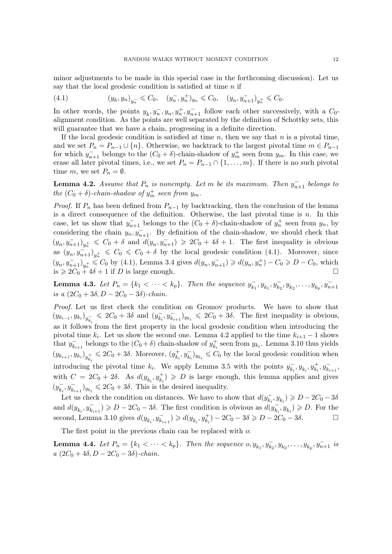minor adjustments to be made in this special case in the forthcoming discussion). Let us say that the local geodesic condition is satisfied at time  $n$  if

<span id="page-11-0"></span>(4.1) 
$$
(y_k, y_n)_{y_n^-} \leq C_0, \quad (y_n^-, y_n^+)_{y_n} \leq C_0, \quad (y_n, y_{n+1}^-)_{y_n^+} \leq C_0.
$$

In other words, the points  $y_k, y_n^-, y_n, y_n^+, y_{n+1}^-$  follow each other successively, with a  $C_0$ alignment condition. As the points are well separated by the definition of Schottky sets, this will guarantee that we have a chain, progressing in a definite direction.

If the local geodesic condition is satisfied at time  $n$ , then we say that  $n$  is a pivotal time, and we set  $P_n = P_{n-1} \cup \{n\}$ . Otherwise, we backtrack to the largest pivotal time  $m \in P_{n-1}$ for which  $y_{n+1}^-$  belongs to the  $(C_0 + \delta)$ -chain-shadow of  $y_m^+$  seen from  $y_m$ . In this case, we erase all later pivotal times, i.e., we set  $P_n = P_{n-1} \cap \{1, \ldots, m\}$ . If there is no such pivotal time m, we set  $P_n = \emptyset$ .

<span id="page-11-1"></span>**Lemma 4.2.** Assume that  $P_n$  is nonempty. Let m be its maximum. Then  $y_{n+1}^-$  belongs to the  $(C_0 + \delta)$ -chain-shadow of  $y_m^+$  seen from  $y_m$ .

*Proof.* If  $P_n$  has been defined from  $P_{n-1}$  by backtracking, then the conclusion of the lemma is a direct consequence of the definition. Otherwise, the last pivotal time is  $n$ . In this case, let us show that  $y_{n+1}^-$  belongs to the  $(C_0 + \delta)$ -chain-shadow of  $y_n^+$  seen from  $y_n$ , by considering the chain  $y_n, y_{n+1}^-$ . By definition of the chain-shadow, we should check that  $(y_n, y_{n+1}^-)_{y_n^+} \leq C_0 + \delta$  and  $d(y_n, y_{n+1}^-) \geq 2C_0 + 4\delta + 1$ . The first inequality is obvious as  $(y_n, y_{n+1}^{\dagger})_{y_n^+} \leq C_0 \leq C_0 + \delta$  by the local geodesic condition [\(4.1\)](#page-11-0). Moreover, since  $(y_n, y_{n+1}^-)_{y_n^+} \leqslant C_0$  by [\(4.1\)](#page-11-0), Lemma [3.4](#page-7-3) gives  $d(y_n, y_{n+1}^-) \geqslant d(y_n, y_n^+) - C_0 \geqslant D - C_0$ , which is  $\geqslant 2C_0 + 4\delta + 1$  if D is large enough.

<span id="page-11-2"></span>**Lemma 4.3.** Let  $P_n = \{k_1 < \cdots < k_p\}$ . Then the sequence  $y_k^{\dagger}$  $\overline{y_{k_1}}$ ,  $y_{k_1}$ ,  $y_{k_2}$ ,  $y_{k_2}$ , ...,  $y_{k_p}$ ,  $y_{n+1}$ is a  $(2C_0 + 3\delta, D - 2C_0 - 3\delta)$ -chain.

Proof. Let us first check the condition on Gromov products. We have to show that  $(y_{k_{i-1}}, y_{k_i})_{y_{k_i}^-} \le 2C_0 + 3\delta$  and  $(y_{k_i}^-)$  $(\overline{k}_i, y_{k_{i+1}})_{y_{k_i}} \leq 2C_0 + 3\delta$ . The first inequality is obvious, as it follows from the first property in the local geodesic condition when introducing the pivotal time  $k_i$ . Let us show the second one. Lemma [4.2](#page-11-1) applied to the time  $k_{i+1} - 1$  shows that  $y_{k}^ \bar{k}_{k+1}$  belongs to the  $(C_0 + \delta)$  chain-shadow of  $y_{k}^+$  $\mathcal{L}_{k_i}^+$  seen from  $y_{k_i}$ . Lemma [3.10](#page-8-0) thus yields  $(y_{k_{i+1}}, y_{k_i})_{y_{k_i}^+} \leq 2C_0 + 3\delta.$  Moreover,  $(y_{k_i}^+)$  $\langle k_i^+, y_{k_i}^- \rangle_{y_{k_i}} \leqslant C_0$  by the local geodesic condition when introducing the pivotal time  $k_i$ . We apply Lemma [3.5](#page-7-0) with the points  $y_{k_i}^$  $y_{k_i}^-, y_{k_i}^+, y_{k_i}^-, y_{k_{i+1}}^-,$ with  $C = 2C_0 + 2\delta$ . As  $d(y_{k_i}, y_{k_i}^+) \geqslant D$  is large enough, this lemma applies and gives  $(y_k^-)$  $(\overline{k}_i, y_{k_{i+1}})_{y_{k_i}} \leq 2C_0 + 3\delta$ . This is the desired inequality.

Let us check the condition on distances. We have to show that  $d(y_k)$  $(\bar{k}_i, y_{k_i}) \ge D - 2C_0 - 3\delta$ and  $d(y_{k_i}, y_{k_{i+1}}^-) \geqslant D - 2C_0 - 3\delta$ . The first condition is obvious as  $d(y_{k_i}^-)$  $(\overline{k}_i, y_{k_i}) \geqslant D$ . For the second, Lemma [3.10](#page-8-0) gives  $d(y_{k_i}, y_{k_{i+1}}^-) \geq d(y_{k_i}, y_{k_i}^+) - 2C_0 - 3\delta \geq D - 2C_0 - 3\delta$ . □

The first point in the previous chain can be replaced with  $\alpha$ .

<span id="page-11-3"></span>**Lemma 4.4.** Let  $P_n = \{k_1 < \cdots < k_p\}$ . Then the sequence  $o, y_{k_1}, y_{k_2}, \ldots, y_{k_p}, y_{n+1}$  is  $a (2C_0 + 4\delta, D - 2C_0 - 3\delta)$ -chain.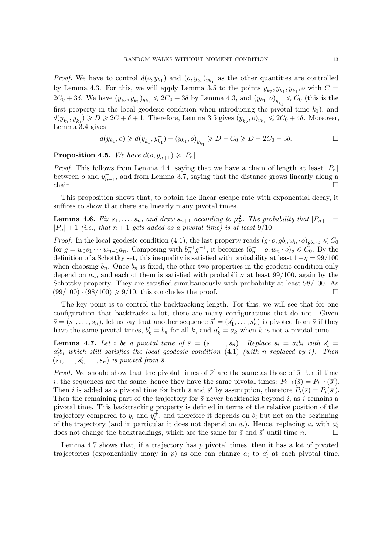*Proof.* We have to control  $d(o, y_{k_1})$  and  $(o, y_{k_2})_{y_{k_1}}$  as the other quantities are controlled by Lemma [4.3.](#page-11-2) For this, we will apply Lemma [3.5](#page-7-0) to the points  $y_k^$  $y_{k_1}^-, y_{k_1}^-, o$  with  $C =$  $2C_0 + 3\delta$ . We have  $(y_k^-)$  $(\bar{k}_2, y_{k_1}^-, y_{k_1}^+] \leq 2C_0 + 3\delta$  by Lemma [4.3,](#page-11-2) and  $(y_{k_1}, o)_{y_{k_1}^-} \leq C_0$  (this is the first property in the local geodesic condition when introducing the pivotal time  $k_1$ ), and  $d(y_{k_1}, y_{k_1}^-) \geqslant D \geqslant 2C + \delta + 1$ . Therefore, Lemma [3.5](#page-7-0) gives  $(y_{k_2}^-)$  $(\bar{k}_2, o)_{y_{k_1}} \leq 2C_0 + 4\delta$ . Moreover, Lemma [3.4](#page-7-3) gives

$$
d(y_{k_1}, o) \ge d(y_{k_1}, y_{k_1}^-) - (y_{k_1}, o)_{y_{k_1}^-} \ge D - C_0 \ge D - 2C_0 - 3\delta.
$$

<span id="page-12-2"></span>**Proposition 4.5.** We have  $d(o, y_{n+1}^-) \geq |P_n|$ .

*Proof.* This follows from Lemma [4.4,](#page-11-3) saying that we have a chain of length at least  $|P_n|$ between o and  $y_{n+1}^-$ , and from Lemma [3.7,](#page-7-2) saying that the distance grows linearly along a chain.  $\Box$ 

This proposition shows that, to obtain the linear escape rate with exponential decay, it suffices to show that there are linearly many pivotal times.

<span id="page-12-1"></span>**Lemma 4.6.** Fix  $s_1, \ldots, s_n$ , and draw  $s_{n+1}$  according to  $\mu_S^2$ . The probability that  $|P_{n+1}| =$  $|P_n| + 1$  (i.e., that  $n + 1$  gets added as a pivotal time) is at least 9/10.

*Proof.* In the local geodesic condition [\(4.1\)](#page-11-0), the last property reads  $(g \cdot o, g b_n w_n \cdot o)_{q b_n \cdot o} \leq C_0$ for  $g = w_0 s_1 \cdots w_{n-1} a_n$ . Composing with  $b_n^{-1} g^{-1}$ , it becomes  $(b_n^{-1} \cdot o, w_n \cdot o)_o \leq C_0$ . By the definition of a Schottky set, this inequality is satisfied with probability at least  $1-\eta = 99/100$ when choosing  $b_n$ . Once  $b_n$  is fixed, the other two properties in the geodesic condition only depend on  $a_n$ , and each of them is satisfied with probability at least 99/100, again by the Schottky property. They are satisfied simultaneously with probability at least 98/100. As  $(99/100) \cdot (98/100) \ge 9/10$ , this concludes the proof.

The key point is to control the backtracking length. For this, we will see that for one configuration that backtracks a lot, there are many configurations that do not. Given  $\bar{s} = (s_1, \ldots, s_n)$ , let us say that another sequence  $\bar{s}' = (s'_1, \ldots, s'_n)$  is pivoted from  $\bar{s}$  if they have the same pivotal times,  $b'_k = b_k$  for all k, and  $a'_k = a_k$  when k is not a pivotal time.

<span id="page-12-0"></span>**Lemma 4.7.** Let i be a pivotal time of  $\bar{s} = (s_1, \ldots, s_n)$ . Replace  $s_i = a_i b_i$  with  $s'_i =$  $a'_i b_i$  which still satisfies the local geodesic condition  $(4.1)$  (with n replaced by i). Then  $(s_1, \ldots, s_i', \ldots, s_n)$  is pivoted from  $\overline{s}$ .

*Proof.* We should show that the pivotal times of  $\bar{s}'$  are the same as those of  $\bar{s}$ . Until time i, the sequences are the same, hence they have the same pivotal times:  $P_{i-1}(\bar{s}) = P_{i-1}(\bar{s}')$ . Then *i* is added as a pivotal time for both  $\bar{s}$  and  $\bar{s}'$  by assumption, therefore  $P_i(\bar{s}) = P_i(\bar{s}')$ . Then the remaining part of the trajectory for  $\bar{s}$  never backtracks beyond i, as i remains a pivotal time. This backtracking property is defined in terms of the relative position of the trajectory compared to  $y_i$  and  $y_i^+$ , and therefore it depends on  $b_i$  but not on the beginning of the trajectory (and in particular it does not depend on  $a_i$ ). Hence, replacing  $a_i$  with  $a'_i$ does not change the backtrackings, which are the same for  $\bar{s}$  and  $\bar{s}'$  until time  $n$ .

Lemma [4.7](#page-12-0) shows that, if a trajectory has  $p$  pivotal times, then it has a lot of pivoted trajectories (exponentially many in  $p$ ) as one can change  $a_i$  to  $a'_i$  at each pivotal time.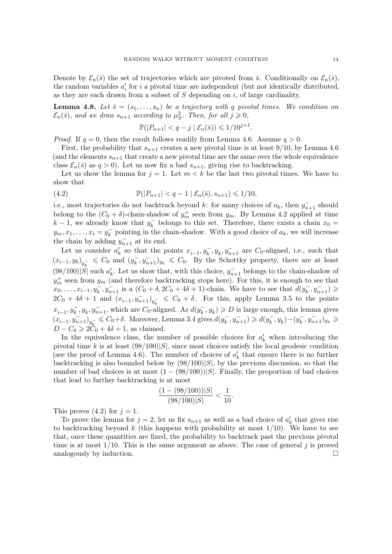Denote by  $\mathcal{E}_n(\bar{s})$  the set of trajectories which are pivoted from  $\bar{s}$ . Conditionally on  $\mathcal{E}_n(\bar{s})$ , the random variables  $a_i'$  for i a pivotal time are independent (but not identically distributed, as they are each drawn from a subset of  $S$  depending on  $i$ , of large cardinality.

<span id="page-13-0"></span>**Lemma 4.8.** Let  $\bar{s} = (s_1, \ldots, s_n)$  be a trajectory with q pivotal times. We condition on  $\mathcal{E}_n(\bar{s})$ , and we draw  $s_{n+1}$  according to  $\mu_S^2$ . Then, for all  $j \geqslant 0$ ,

<span id="page-13-1"></span>
$$
\mathbb{P}(|P_{n+1}| < q - j \mid \mathcal{E}_n(\bar{s})) \leqslant 1/10^{j+1}.
$$

*Proof.* If  $q = 0$ , then the result follows readily from Lemma [4.6.](#page-12-1) Assume  $q > 0$ .

First, the probability that  $s_{n+1}$  creates a new pivotal time is at least 9/10, by Lemma [4.6](#page-12-1) (and the elements  $s_{n+1}$  that create a new pivotal time are the same over the whole equivalence class  $\mathcal{E}_n(\bar{s})$  as  $q > 0$ ). Let us now fix a bad  $s_{n+1}$ , giving rise to backtracking.

Let us show the lemma for  $j = 1$ . Let  $m < k$  be the last two pivotal times. We have to show that

(4.2) 
$$
\mathbb{P}(|P_{n+1}| < q-1 \mid \mathcal{E}_n(\bar{s}), s_{n+1}) \leq 1/10,
$$

i.e., most trajectories do not backtrack beyond k: for many choices of  $a_k$ , then  $y_{n+1}^-$  should belong to the  $(C_0 + \delta)$ -chain-shadow of  $y_m^+$  seen from  $y_m$ . By Lemma [4.2](#page-11-1) applied at time  $k-1$ , we already know that  $y_k^ \overline{k}_{k}$  belongs to this set. Therefore, there exists a chain  $x_0 =$  $y_m, x_1, \ldots, x_i = y_k^$  $k_{k}$  pointing in the chain-shadow. With a good choice of  $a_k$ , we will increase the chain by adding  $y_{n+1}^-$  at its end.

Let us consider  $a'_k$  so that the points  $x_{i-1}, y_k^-, y_k, y_{n+1}^-$  are  $C_0$ -aligned, i.e., such that  $(x_{i-1}, y_k)_{y_k^-} \leq C_0$  and  $(y_k^-)$  $(\overline{k}, \overline{y}_{n+1})_{y_k} \leq C_0$ . By the Schottky property, there are at least  $(98/100)|S|$  such  $a'_k$ . Let us show that, with this choice,  $y_{n+1}^-$  belongs to the chain-shadow of  $y_m^+$  seen from  $y_m$  (and therefore backtracking stops here). For this, it is enough to see that  $x_0, \ldots, x_{i-1}, y_k, y_{n+1}$  is a  $(C_0 + \delta, 2C_0 + 4\delta + 1)$ -chain. We have to see that  $d(y_k)$  $y_k^-, y_{n+1}^-) \geqslant$  $2C_0 + 4\delta + 1$  and  $(x_{i-1}, y_{n+1}^{-})_{y_k^{-}} \leq C_0 + \delta$ . For this, apply Lemma [3.5](#page-7-0) to the points  $x_{i-1}, y_k^-, y_{k}, y_{n+1}^-,$  which are  $C_0$ -aligned. As  $d(y_k^-)$  $(\overline{k}, y_k) \geqslant D$  is large enough, this lemma gives  $(x_{i-1}, y_{n+1}^-)_{y_k^-} \leqslant C_0 + \delta.$  Moreover, Lemma [3.4](#page-7-3) gives  $d(y_k^-)$  $(y_k^-, y_{n+1}^-) \geq d(y_k^-)$  $y_k^-$ ,  $y_k$ ) –  $(y_k^ (y_k^-, y_{n+1}^-)_{y_k} \geqslant$  $D - C_0 \geq 2\ddot{C}_0 + 4\delta + 1$ , as claimed.

In the equivalence class, the number of possible choices for  $a'_k$  when introducing the pivotal time k is at least  $(98/100)|S|$ , since most choices satisfy the local geodesic condition (see the proof of Lemma [4.6\)](#page-12-1). The number of choices of  $a'_k$  that ensure there is no further backtracking is also bounded below by  $(98/100)|S|$ , by the previous discussion, so that the number of bad choices is at most  $(1 - (98/100))|S|$ . Finally, the proportion of bad choices that lead to further backtracking is at most

$$
\frac{(1 - (98/100))|S|}{(98/100)|S|} < \frac{1}{10}.
$$

This proves  $(4.2)$  for  $j = 1$ .

To prove the lemma for  $j = 2$ , let us fix  $s_{n+1}$  as well as a bad choice of  $a'_k$  that gives rise to backtracking beyond k (this happens with probability at most  $1/10$ ). We have to see that, once these quantities are fixed, the probability to backtrack past the previous pivotal time is at most  $1/10$ . This is the same argument as above. The case of general j is proved analogously by induction.  $\Box$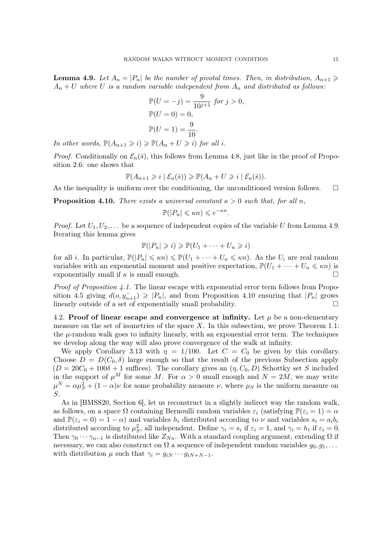<span id="page-14-3"></span><span id="page-14-1"></span>**Lemma 4.9.** Let  $A_n = |P_n|$  be the number of pivotal times. Then, in distribution,  $A_{n+1} \geq$  $A_n + U$  where U is a random variable independent from  $A_n$  and distributed as follows:

$$
\mathbb{P}(U = -j) = \frac{9}{10^{j+1}} \text{ for } j > 0,
$$
  
\n
$$
\mathbb{P}(U = 0) = 0,
$$
  
\n
$$
\mathbb{P}(U = 1) = \frac{9}{10}.
$$

In other words,  $\mathbb{P}(A_{n+1} \geq i) \geq \mathbb{P}(A_n + U \geq i)$  for all i.

*Proof.* Conditionally on  $\mathcal{E}_n(\bar{s})$ , this follows from Lemma [4.8,](#page-13-0) just like in the proof of Proposition [2.6:](#page-4-0) one shows that

$$
\mathbb{P}(A_{n+1} \geq i \mid \mathcal{E}_n(\bar{s})) \geq \mathbb{P}(A_n + U \geq i \mid \mathcal{E}_n(\bar{s})).
$$

As the inequality is uniform over the conditioning, the unconditioned version follows.  $\Box$ 

<span id="page-14-2"></span>**Proposition 4.10.** There exists a universal constant  $\kappa > 0$  such that, for all n,

$$
\mathbb{P}(|P_n| \leq \kappa n) \leq e^{-\kappa n}
$$

.

*Proof.* Let  $U_1, U_2, \ldots$  be a sequence of independent copies of the variable U from Lemma [4.9.](#page-14-1) Iterating this lemma gives

$$
\mathbb{P}(|P_n| \geq i) \geq \mathbb{P}(U_1 + \cdots + U_n \geq i)
$$

for all *i*. In particular,  $\mathbb{P}(|P_n| \leq \kappa n) \leq \mathbb{P}(U_1 + \cdots + U_n \leq \kappa n)$ . As the  $U_i$  are real random variables with an exponential moment and positive expectation,  $\mathbb{P}(U_1 + \cdots + U_n \leq \kappa n)$  is exponentially small if  $\kappa$  is small enough.

*Proof of Proposition [4.1.](#page-10-2)* The linear escape with exponential error term follows from Propo-sition [4.5](#page-12-2) giving  $d(o, y_{n+1}^-) \geqslant |P_n|$ , and from Proposition [4.10](#page-14-2) ensuring that  $|P_n|$  grows linearly outside of a set of exponentially small probability.

<span id="page-14-0"></span>4.2. Proof of linear escape and convergence at infinity. Let  $\mu$  be a non-elementary measure on the set of isometries of the space  $X$ . In this subsection, we prove Theorem [1.1:](#page-1-0) the  $\mu$ -random walk goes to infinity linearly, with an exponential error term. The techniques we develop along the way will also prove convergence of the walk at infinity.

We apply Corollary [3.13](#page-10-3) with  $\eta = 1/100$ . Let  $C = C_0$  be given by this corollary. Choose  $D = D(C_0, \delta)$  large enough so that the result of the previous Subsection apply  $(D = 20C_0 + 100\delta + 1$  suffices). The corollary gives an  $(\eta, C_0, D)$  Schottky set S included in the support of  $\mu^M$  for some M. For  $\alpha > 0$  small enough and  $N = 2M$ , we may write  $\mu^N = \alpha \mu_S^2 + (1 - \alpha)\nu$  for some probability measure  $\nu$ , where  $\mu_S$  is the uniform measure on S.

As in [\[BMSS20,](#page-28-1) Section 6], let us reconstruct in a slightly indirect way the random walk, as follows, on a space  $\Omega$  containing Bernoulli random variables  $\varepsilon_i$  (satisfying  $\mathbb{P}(\varepsilon_i = 1) = \alpha$ and  $\mathbb{P}(\varepsilon_i = 0) = 1 - \alpha$ ) and variables  $h_i$  distributed according to  $\nu$  and variables  $s_i = a_i b_i$ distributed according to  $\mu_S^2$ , all independent. Define  $\gamma_i = s_i$  if  $\varepsilon_i = 1$ , and  $\gamma_i = h_i$  if  $\varepsilon_i = 0$ . Then  $\gamma_0 \cdots \gamma_{n-1}$  is distributed like  $Z_{Nn}$ . With a standard coupling argument, extending  $\Omega$  if necessary, we can also construct on  $\Omega$  a sequence of independent random variables  $g_0, g_1, \ldots$ with distribution  $\mu$  such that  $\gamma_i = g_{iN} \cdots g_{iN+N-1}$ .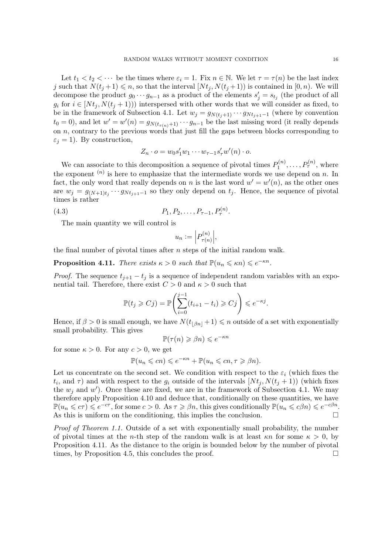Let  $t_1 < t_2 < \cdots$  be the times where  $\varepsilon_i = 1$ . Fix  $n \in \mathbb{N}$ . We let  $\tau = \tau(n)$  be the last index j such that  $N(t_j+1) \leq n$ , so that the interval  $[N_t, N(t_j+1)]$  is contained in  $[0, n)$ . We will decompose the product  $g_0 \cdots g_{n-1}$  as a product of the elements  $s'_j = s_{t_j}$  (the product of all  $g_i$  for  $i \in [Nt_i, N(t_i + 1))]$  interspersed with other words that we will consider as fixed, to be in the framework of Subsection [4.1.](#page-10-1) Let  $w_j = g_{N(t_j+1)} \cdots g_{N(t_{j+1}-1)}$  (where by convention  $t_0 = 0$ , and let  $w' = w'(n) = g_{N(t_{\tau(n)}+1)} \cdots g_{n-1}$  be the last missing word (it really depends on  $n$ , contrary to the previous words that just fill the gaps between blocks corresponding to  $\varepsilon_j = 1$ ). By construction,

$$
Z_n \cdot o = w_0 s_1' w_1 \cdots w_{\tau-1} s_{\tau}' w'(n) \cdot o.
$$

We can associate to this decomposition a sequence of pivotal times  $P_1^{(n)}$  $P_1^{(n)},\ldots,P_{\tau}^{(n)},$  where the exponent  $(n)$  is here to emphasize that the intermediate words we use depend on n. In fact, the only word that really depends on n is the last word  $w' = w'(n)$ , as the other ones are  $w_j = g_{(N+1)t_j} \cdots g_{Nt_{j+1}-1}$  so they only depend on  $t_j$ . Hence, the sequence of pivotal times is rather

$$
(4.3) \t\t P_1, P_2, \ldots, P_{\tau-1}, P_{\tau}^{(n)}.
$$

The main quantity we will control is

<span id="page-15-1"></span>
$$
u_n := \left| P_{\tau(n)}^{(n)} \right|,
$$

the final number of pivotal times after  $n$  steps of the initial random walk.

<span id="page-15-0"></span>**Proposition 4.11.** There exists  $\kappa > 0$  such that  $\mathbb{P}(u_n \leq \kappa n) \leq e^{-\kappa n}$ .

*Proof.* The sequence  $t_{i+1} - t_i$  is a sequence of independent random variables with an exponential tail. Therefore, there exist  $C > 0$  and  $\kappa > 0$  such that

$$
\mathbb{P}(t_j \geqslant Cj) = \mathbb{P}\left(\sum_{i=0}^{j-1} (t_{i+1} - t_i) \geqslant Cj\right) \leqslant e^{-\kappa j}.
$$

Hence, if  $\beta > 0$  is small enough, we have  $N(t_{\beta n} + 1) \leq n$  outside of a set with exponentially small probability. This gives

$$
\mathbb{P}(\tau(n) \geq \beta n) \leq e^{-\kappa n}
$$

for some  $\kappa > 0$ . For any  $c > 0$ , we get

$$
\mathbb{P}(u_n \leqslant cn) \leqslant e^{-\kappa n} + \mathbb{P}(u_n \leqslant cn, \tau \geqslant \beta n).
$$

Let us concentrate on the second set. We condition with respect to the  $\varepsilon_i$  (which fixes the  $(t_i, \text{ and } \tau)$  and with respect to the  $g_i$  outside of the intervals  $[Nt_j, N(t_j + 1)]$  (which fixes the  $w_j$  and  $w'$ ). Once these are fixed, we are in the framework of Subsection [4.1.](#page-10-1) We may therefore apply Proposition [4.10](#page-14-2) and deduce that, conditionally on these quantities, we have  $\mathbb{P}(u_n \leqslant c\tau) \leqslant e^{-c\tau}$ , for some  $c > 0$ . As  $\tau \geqslant \beta n$ , this gives conditionally  $\mathbb{P}(u_n \leqslant c\beta n) \leqslant e^{-c\beta n}$ . As this is uniform on the conditioning, this implies the conclusion.  $\Box$ 

Proof of Theorem [1.1.](#page-1-0) Outside of a set with exponentially small probability, the number of pivotal times at the *n*-th step of the random walk is at least  $\kappa n$  for some  $\kappa > 0$ , by Proposition [4.11.](#page-15-0) As the distance to the origin is bounded below by the number of pivotal times, by Proposition [4.5,](#page-12-2) this concludes the proof.  $\Box$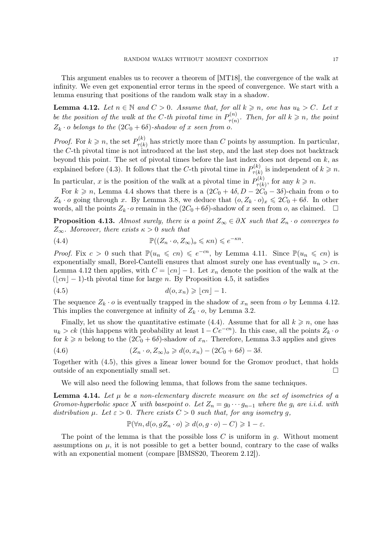<span id="page-16-6"></span>This argument enables us to recover a theorem of [\[MT18\]](#page-29-0), the convergence of the walk at infinity. We even get exponential error terms in the speed of convergence. We start with a lemma ensuring that positions of the random walk stay in a shadow.

<span id="page-16-0"></span>**Lemma 4.12.** Let  $n \in \mathbb{N}$  and  $C > 0$ . Assume that, for all  $k \geq n$ , one has  $u_k > C$ . Let x be the position of the walk at the C-th pivotal time in  $P_{\tau(n)}^{(n)}$  $\sigma_{\tau(n)}^{(n)}$ . Then, for all  $k \geqslant n$ , the point  $Z_k \cdot o$  belongs to the  $(2C_0 + 6\delta)$ -shadow of x seen from o.

*Proof.* For  $k \geqslant n$ , the set  $P_{\tau(k)}^{(k)}$  $\tau(k)$  has strictly more than C points by assumption. In particular, the C-th pivotal time is not introduced at the last step, and the last step does not backtrack beyond this point. The set of pivotal times before the last index does not depend on  $k$ , as explained before [\(4.3\)](#page-15-1). It follows that the C-th pivotal time in  $P_{\tau(k)}^{(k)}$  $p_{\tau(k)}^{(k)}$  is independent of  $k \geq n$ .

In particular, x is the position of the walk at a pivotal time in  $P_{\tau(k)}^{(k)}$  $p_{\tau(k)}^{(k)}$ , for any  $k \geqslant n$ .

For  $k \geq n$ , Lemma [4.4](#page-11-3) shows that there is a  $(2C_0 + 4\delta, D - 2C_0 - 3\delta)$ -chain from o to  $Z_k \cdot o$  going through x. By Lemma [3.8,](#page-8-1) we deduce that  $(o, Z_k \cdot o)_x \leq 2C_0 + 6\delta$ . In other words, all the points  $Z_k \cdot o$  remain in the  $(2C_0 + 6\delta)$ -shadow of x seen from o, as claimed.  $\square$ 

<span id="page-16-3"></span>**Proposition 4.13.** Almost surely, there is a point  $Z_{\infty} \in \partial X$  such that  $Z_n \cdot o$  converges to  $Z_{\infty}$ . Moreover, there exists  $\kappa > 0$  such that

<span id="page-16-1"></span>(4.4) 
$$
\mathbb{P}((Z_n \cdot o, Z_\infty)_o \leq \kappa n) \leq e^{-\kappa n}.
$$

*Proof.* Fix  $c > 0$  such that  $\mathbb{P}(u_n \leqslant cn) \leqslant e^{-cn}$ , by Lemma [4.11.](#page-15-0) Since  $\mathbb{P}(u_n \leqslant cn)$  is exponentially small, Borel-Cantelli ensures that almost surely one has eventually  $u_n > cn$ . Lemma [4.12](#page-16-0) then applies, with  $C = |cn| - 1$ . Let  $x_n$  denote the position of the walk at the  $(|cn| - 1)$ -th pivotal time for large n. By Proposition [4.5,](#page-12-2) it satisfies

<span id="page-16-2"></span>
$$
(4.5) \t d(o, x_n) \geqslant \lfloor cn \rfloor - 1.
$$

The sequence  $Z_k \cdot o$  is eventually trapped in the shadow of  $x_n$  seen from o by Lemma [4.12.](#page-16-0) This implies the convergence at infinity of  $Z_k \cdot o$ , by Lemma [3.2.](#page-6-3)

Finally, let us show the quantitative estimate [\(4.4\)](#page-16-1). Assume that for all  $k \geq n$ , one has  $u_k > ck$  (this happens with probability at least  $1 - Ce^{-cn}$ ). In this case, all the points  $Z_k \cdot o$ for  $k \geq n$  belong to the  $(2C_0 + 6\delta)$ -shadow of  $x_n$ . Therefore, Lemma [3.3](#page-6-4) applies and gives

(4.6) 
$$
(Z_n \cdot o, Z_\infty)_o \geq d(o, x_n) - (2C_0 + 6\delta) - 3\delta.
$$

Together with [\(4.5\)](#page-16-2), this gives a linear lower bound for the Gromov product, that holds outside of an exponentially small set.

We will also need the following lemma, that follows from the same techniques.

<span id="page-16-5"></span>**Lemma 4.14.** Let  $\mu$  be a non-elementary discrete measure on the set of isometries of a Gromov-hyperbolic space X with basepoint o. Let  $Z_n = g_0 \cdots g_{n-1}$  where the  $g_i$  are i.i.d. with distribution  $\mu$ . Let  $\varepsilon > 0$ . There exists  $C > 0$  such that, for any isometry g,

<span id="page-16-4"></span>
$$
\mathbb{P}(\forall n, d(o, gZ_n \cdot o) \geq d(o, g \cdot o) - C) \geq 1 - \varepsilon.
$$

The point of the lemma is that the possible loss  $C$  is uniform in  $q$ . Without moment assumptions on  $\mu$ , it is not possible to get a better bound, contrary to the case of walks with an exponential moment (compare [\[BMSS20,](#page-28-1) Theorem 2.12]).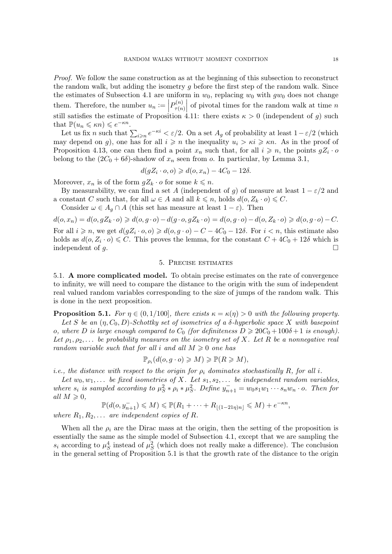Proof. We follow the same construction as at the beginning of this subsection to reconstruct the random walk, but adding the isometry  $q$  before the first step of the random walk. Since the estimates of Subsection [4.1](#page-10-1) are uniform in  $w_0$ , replacing  $w_0$  with  $gw_0$  does not change them. Therefore, the number  $u_n :=$  $P_{\tau(n)}^{(n)}$  $\tau(n)$ them. Therefore, the number  $u_n := \left| P_{\tau(n)}^{(n)} \right|$  of pivotal times for the random walk at time *n* still satisfies the estimate of Proposition [4.11:](#page-15-0) there exists  $\kappa > 0$  (independent of *g*) such that  $\mathbb{P}(u_n \leq \kappa n) \leq e^{-\kappa n}$ .

Let us fix n such that  $\sum_{i\geqslant n}e^{-\kappa i}<\varepsilon/2$ . On a set  $A_g$  of probability at least  $1-\varepsilon/2$  (which may depend on g), one has for all  $i \geq n$  the inequality  $u_i > \kappa i \geq \kappa n$ . As in the proof of Proposition [4.13,](#page-16-3) one can then find a point  $x_n$  such that, for all  $i \geq n$ , the points  $gZ_i \cdot o$ belong to the  $(2C_0 + 6\delta)$ -shadow of  $x_n$  seen from o. In particular, by Lemma [3.1,](#page-6-5)

$$
d(gZ_i \cdot o, o) \geq d(o, x_n) - 4C_0 - 12\delta.
$$

Moreover,  $x_n$  is of the form  $gZ_k \cdot o$  for some  $k \leq n$ .

By measurability, we can find a set A (independent of q) of measure at least  $1 - \varepsilon/2$  and a constant C such that, for all  $\omega \in A$  and all  $k \leq n$ , holds  $d(o, Z_k \cdot o) \leq C$ .

Consider  $\omega \in A_q \cap A$  (this set has measure at least  $1 - \varepsilon$ ). Then

$$
d(o, x_n) = d(o, gZ_k \cdot o) \geq d(o, g \cdot o) - d(g \cdot o, gZ_k \cdot o) = d(o, g \cdot o) - d(o, Z_k \cdot o) \geq d(o, g \cdot o) - C.
$$

For all  $i \geq n$ , we get  $d(gZ_i \cdot o, o) \geq d(o, g \cdot o) - C - 4C_0 - 12\delta$ . For  $i < n$ , this estimate also holds as  $d(o, Z_i \cdot o) \leq C$ . This proves the lemma, for the constant  $C + 4C_0 + 12\delta$  which is independent of g.  $\Box$ 

## 5. Precise estimates

<span id="page-17-2"></span><span id="page-17-0"></span>5.1. A more complicated model. To obtain precise estimates on the rate of convergence to infinity, we will need to compare the distance to the origin with the sum of independent real valued random variables corresponding to the size of jumps of the random walk. This is done in the next proposition.

<span id="page-17-1"></span>**Proposition 5.1.** For  $\eta \in (0, 1/100]$ , there exists  $\kappa = \kappa(\eta) > 0$  with the following property.

Let S be an  $(\eta, C_0, D)$ -Schottky set of isometries of a  $\delta$ -hyperbolic space X with basepoint o, where D is large enough compared to  $C_0$  (for definiteness  $D \geq 20C_0 + 100\delta + 1$  is enough). Let  $\rho_1, \rho_2, \ldots$  be probability measures on the isometry set of X. Let R be a nonnegative real random variable such that for all i and all  $M \geq 0$  one has

$$
\mathbb{P}_{\rho_i}(d(o, g \cdot o) \geqslant M) \geqslant \mathbb{P}(R \geqslant M),
$$

i.e., the distance with respect to the origin for  $\rho_i$  dominates stochastically R, for all i.

Let  $w_0, w_1, \ldots$  be fixed isometries of X. Let  $s_1, s_2, \ldots$  be independent random variables, where  $s_i$  is sampled according to  $\mu_S^2 * \rho_i * \mu_S^2$ . Define  $y_{n+1}^- = w_0 s_1 w_1 \cdots s_n w_n \cdot o$ . Then for all  $M \geqslant 0$ ,

$$
\mathbb{P}(d(o, y_{n+1}^-) \leqslant M) \leqslant \mathbb{P}(R_1 + \dots + R_{\lfloor (1-21\eta)n \rfloor} \leqslant M) + e^{-\kappa n},
$$

where  $R_1, R_2, \ldots$  are independent copies of R.

When all the  $\rho_i$  are the Dirac mass at the origin, then the setting of the proposition is essentially the same as the simple model of Subsection [4.1,](#page-10-1) except that we are sampling the  $s_i$  according to  $\mu_S^4$  instead of  $\mu_S^2$  (which does not really make a difference). The conclusion in the general setting of Proposition [5.1](#page-17-1) is that the growth rate of the distance to the origin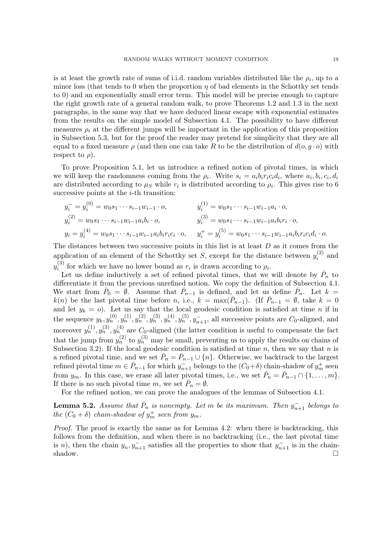is at least the growth rate of sums of i.i.d. random variables distributed like the  $\rho_i$ , up to a minor loss (that tends to 0 when the proportion  $\eta$  of bad elements in the Schottky set tends to 0) and an exponentially small error term. This model will be precise enough to capture the right growth rate of a general random walk, to prove Theorems [1.2](#page-1-1) and [1.3](#page-1-2) in the next paragraphs, in the same way that we have deduced linear escape with exponential estimates from the results on the simple model of Subsection [4.1.](#page-10-1) The possibility to have different measures  $\rho_i$  at the different jumps will be important in the application of this proposition in Subsection [5.3,](#page-24-0) but for the proof the reader may pretend for simplicity that they are all equal to a fixed measure  $\rho$  (and then one can take R to be the distribution of  $d(o, g \cdot o)$  with respect to  $\rho$ ).

To prove Proposition [5.1,](#page-17-1) let us introduce a refined notion of pivotal times, in which we will keep the randomness coming from the  $\rho_i$ . Write  $s_i = a_i b_i r_i c_i d_i$ , where  $a_i, b_i, c_i, d_i$ are distributed according to  $\mu_S$  while  $r_i$  is distributed according to  $\rho_i$ . This gives rise to 6 successive points at the  $i$ -th transition:

$$
y_i^- = y_i^{(0)} = w_0 s_1 \cdots s_{i-1} w_{i-1} \cdot o, \qquad y_i^{(1)} = w_0 s_1 \cdots s_{i-1} w_{i-1} a_i \cdot o,
$$
  
\n
$$
y_i^{(2)} = w_0 s_1 \cdots s_{i-1} w_{i-1} a_i b_i \cdot o, \qquad y_i^{(3)} = w_0 s_1 \cdots s_{i-1} w_{i-1} a_i b_i r_i \cdot o,
$$
  
\n
$$
y_i = y_i^{(4)} = w_0 s_1 \cdots s_{i-1} w_{i-1} a_i b_i r_i c_i \cdot o, \qquad y_i^+ = y_i^{(5)} = w_0 s_1 \cdots s_{i-1} w_{i-1} a_i b_i r_i c_i d_i \cdot o.
$$

The distances between two successive points in this list is at least  $D$  as it comes from the application of an element of the Schottky set S, except for the distance between  $y_i^{(2)}$  $q_i^{(2)}$  and  $y_i^{(3)}$  $i_j^{(0)}$  for which we have no lower bound as  $r_i$  is drawn according to  $\rho_i$ .

Let us define inductively a set of refined pivotal times, that we will denote by  $\bar{P}_n$  to differentiate it from the previous unrefined notion. We copy the definition of Subsection [4.1.](#page-10-1) We start from  $\bar{P}_0 = \emptyset$ . Assume that  $\bar{P}_{n-1}$  is defined, and let us define  $\bar{P}_n$ . Let  $k =$  $k(n)$  be the last pivotal time before n, i.e.,  $k = \max(\overline{P}_{n-1})$ . (If  $\overline{P}_{n-1} = \emptyset$ , take  $k = 0$ and let  $y_k = 0$ . Let us say that the local geodesic condition is satisfied at time n if in the sequence  $y_k, y_n^{(0)}, y_n^{(1)}, y_n^{(2)}, y_n^{(3)}, y_n^{(4)}, y_n^{(5)}, y_{n+1}^-$ , all successive points are  $C_0$ -aligned, and moreover  $y_n^{(1)}, y_n^{(3)}, y_n^{(4)}$  are  $C_0$ -aligned (the latter condition is useful to compensate the fact that the jump from  $y_n^{(2)}$  to  $y_n^{(3)}$  may be small, preventing us to apply the results on chains of Subsection [3.2\)](#page-7-4). If the local geodesic condition is satisfied at time n, then we say that n is a refined pivotal time, and we set  $\bar{P}_n = \bar{P}_{n-1} \cup \{n\}$ . Otherwise, we backtrack to the largest refined pivotal time  $m \in \bar{P}_{n-1}$  for which  $y_{n+1}^-$  belongs to the  $(C_0 + \delta)$  chain-shadow of  $y_m^+$  seen from  $y_m$ . In this case, we erase all later pivotal times, i.e., we set  $\bar{P}_n = \bar{P}_{n-1} \cap \{1, \ldots, m\}$ . If there is no such pivotal time m, we set  $\overline{P}_n = \emptyset$ .

For the refined notion, we can prove the analogues of the lemmas of Subsection [4.1.](#page-10-1)

<span id="page-18-0"></span>**Lemma 5.2.** Assume that  $\bar{P}_n$  is nonempty. Let m be its maximum. Then  $y_{n+1}^-$  belongs to the  $(C_0 + \delta)$  chain-shadow of  $y_m^+$  seen from  $y_m$ .

Proof. The proof is exactly the same as for Lemma [4.2:](#page-11-1) when there is backtracking, this follows from the definition, and when there is no backtracking (i.e., the last pivotal time is n), then the chain  $y_n, y_{n+1}^-$  satisfies all the properties to show that  $y_{n+1}^-$  is in the chainshadow.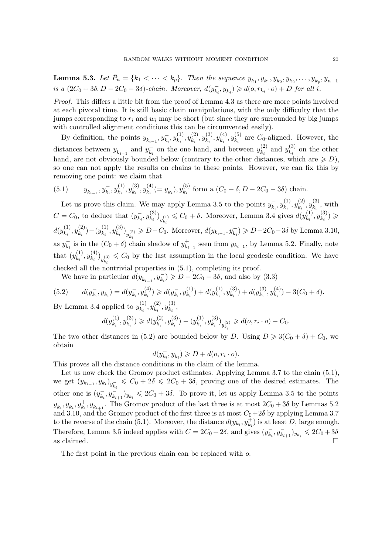<span id="page-19-2"></span>**Lemma 5.3.** Let  $\bar{P}_n = \{k_1 < \cdots < k_p\}$ . Then the sequence  $y_k^{\dagger}$  $\overline{y_{k_1}}$ ,  $y_{k_1}$ ,  $y_{k_2}$ ,  $y_{k_2}$ , ...,  $y_{k_p}$ ,  $y_{n+1}$ is a  $(2C_0 + 3\delta, D - 2C_0 - 3\delta)$ -chain. Moreover,  $d(y_{ki}^-)$  $(\overline{k}_i, y_{k_i}) \geq d(o, r_{k_i} \cdot o) + D$  for all i.

Proof. This differs a little bit from the proof of Lemma [4.3](#page-11-2) as there are more points involved at each pivotal time. It is still basic chain manipulations, with the only difficulty that the jumps corresponding to  $r_i$  and  $w_i$  may be short (but since they are surrounded by big jumps with controlled alignment conditions this can be circumvented easily).

By definition, the points  $y_{k_{i-1}}, y_{k_i}^-, y_{k_i}^{(1)}$  $\binom{(1)}{k_i}, y_{k_i}^{(2)}$  $y_{k_i}^{\left( 2 \right)},y_{k_i}^{\left( 3 \right)}$  $\binom{(3)}{k_i}, y_{k_i}^{(4)}$  $y_{k_i}^{(4)}, y_{k_i}^{(5)}$  $k_i^{(3)}$  are  $C_0$ -aligned. However, the distances between  $y_{k_{i-1}}$  and  $y_{k_i}^ \bar{k}_i$  on the one hand, and between  $y_{k_i}^{(2)}$  $y_{k_i}^{(2)}$  and  $y_{k_i}^{(3)}$  $k_i^{(3)}$  on the other hand, are not obviously bounded below (contrary to the other distances, which are  $\geq D$ ), so one can not apply the results on chains to these points. However, we can fix this by removing one point: we claim that

<span id="page-19-0"></span>(5.1) 
$$
y_{k_{i-1}}, y_{k_i}^-, y_{k_i}^{(1)}, y_{k_i}^{(3)}, y_{k_i}^{(4)} (= y_{k_i}), y_{k_i}^{(5)}
$$
 form a  $(C_0 + \delta, D - 2C_0 - 3\delta)$  chain.

Let us prove this claim. We may apply Lemma [3.5](#page-7-0) to the points  $y_k^$  $y_{k_i}^{-}, y_{k_i}^{(1)}$  $y_{k_i}^{\left(1\right)},y_{k_i}^{\left(2\right)}$  $y_{k_i}^{\left( 2 \right)},y_{k_i}^{\left( 3 \right)}$  $\mathbf{r}_{k_i}^{(0)}$ , with  $C = C_0$ , to deduce that  $(y_{ki}^-)$  $y_{k_i}^{-}, y_{k_i}^{(3)}$  ${k_i \choose k_i}_{y_{k_i}^{(1)}} \leq C_0 + \delta$ . Moreover, Lemma [3.4](#page-7-3) gives  $d(y_{k_i}^{(1)})$  $y_{k_i}^{\left(1\right)},y_{k_i}^{\left(3\right)}$  $\binom{(3)}{k_i} \geqslant$  $d(y_k^{(1)}$  $\binom{(1)}{k_i}, y_{k_i}^{(2)}$  $\binom{(2)}{k_i} - (y^{(1)}_{k_i})$  $\binom{(1)}{k_i}, y_{k_i}^{(3)}$  $\binom{(3)}{k_i}_{y_{k_i}^{(2)}}$  ≥  $D-C_0$ . Moreover,  $d(y_{k_{i-1}}, y_{k_i}^{-})$  ≥  $D-2C_0-3\delta$  by Lemma [3.10,](#page-8-0) as  $y_k^ \bar{k}_i$  is in the  $(C_0 + \delta)$  chain shadow of  $y_{k_i}^+$  $\overline{k}_{i-1}^+$  seen from  $y_{k_{i-1}}$ , by Lemma [5.2.](#page-18-0) Finally, note that  $(y_k^{(1)}$  $\binom{(1)}{k_i}, y_{k_i}^{(4)}$  ${k_i \choose k_i}_{y_{k_i}^{(3)}} \leqslant C_0$  by the last assumption in the local geodesic condition. We have checked all the nontrivial properties in [\(5.1\)](#page-19-0), completing its proof.

<span id="page-19-1"></span>We have in particular  $d(y_{k_{i-1}}, y_{k_i}^{-}) \geqslant D - 2C_0 - 3\delta$ , and also by [\(3.3\)](#page-7-1)

$$
(5.2) \t d(y_{k_i}^-, y_{k_i}) = d(y_{k_i}^-, y_{k_i}^{(4)}) \geq d(y_{k_i}^-, y_{k_i}^{(1)}) + d(y_{k_i}^{(1)}, y_{k_i}^{(3)}) + d(y_{k_i}^{(3)}, y_{k_i}^{(4)}) - 3(C_0 + \delta).
$$

By Lemma [3.4](#page-7-3) applied to  $y_k^{(1)}$  $y_{k_i}^{(1)}, y_{k_i}^{(2)}$  $\binom{(2)}{k_i},y_{k_i}^{(3)}$  $\mathbf{r}_{k_i}^{(3)}$ 

$$
d(y_{k_i}^{(1)}, y_{k_i}^{(3)}) \geq d(y_{k_i}^{(2)}, y_{k_i}^{(3)}) - (y_{k_i}^{(1)}, y_{k_i}^{(3)})_{y_{k_i}^{(2)}} \geq d(o, r_i \cdot o) - C_0.
$$

The two other distances in [\(5.2\)](#page-19-1) are bounded below by D. Using  $D \geq 3(C_0 + \delta) + C_0$ , we obtain

$$
d(y_{k_i}^-, y_{k_i}) \geqslant D + d(o, r_i \cdot o).
$$

This proves all the distance conditions in the claim of the lemma.

Let us now check the Gromov product estimates. Applying Lemma [3.7](#page-7-2) to the chain [\(5.1\)](#page-19-0), we get  $(y_{k_{i-1}}, y_{k_i})_{y_{k_i}^-} \leq C_0 + 2\delta \leq 2C_0 + 3\delta$ , proving one of the desired estimates. The other one is  $(y_k^-)$  $(\overline{k}_i, y\overline{k}_{i+1})y_{k_i} \leqslant 2C_0 + 3\delta$ . To prove it, let us apply Lemma [3.5](#page-7-0) to the points  $y_k^ \overline{k}_i$ ,  $y_{k_i}$ ,  $y_{k_i}^+$ ,  $y_{k_{i+1}}^-$ . The Gromov product of the last three is at most  $2C_0 + 3\delta$  by Lemmas [5.2](#page-18-0) and [3.10,](#page-8-0) and the Gromov product of the first three is at most  $C_0+2\delta$  by applying Lemma [3.7](#page-7-2) to the reverse of the chain [\(5.1\)](#page-19-0). Moreover, the distance  $d(y_{k_i}, y_{k_i}^+)$  is at least D, large enough. Therefore, Lemma [3.5](#page-7-0) indeed applies with  $C = 2C_0 + 2\delta$ , and gives  $(y_k)$  $(\bar{k}_i, y_{\bar{k}_{i+1}})_{y_{k_i}} \leq 2C_0 + 3\delta$ as claimed.

The first point in the previous chain can be replaced with  $\alpha$ .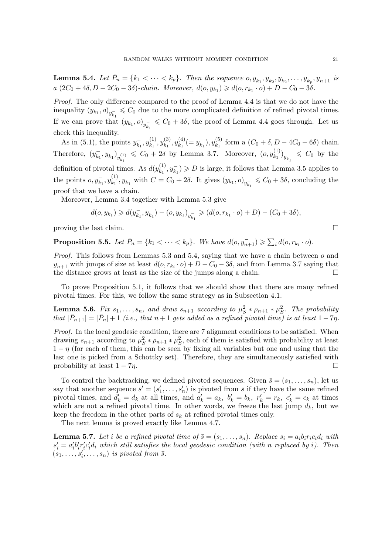<span id="page-20-0"></span>**Lemma 5.4.** Let  $\bar{P}_n = \{k_1 < \cdots < k_p\}$ . Then the sequence  $o, y_{k_1}, y_{k_2}, \ldots, y_{k_p}, y_{n+1}^{-}$  is  $a(2C_0 + 4\delta, D - 2C_0 - 3\delta)$ -chain. Moreover,  $d(o, y_{k_1}) \geq d(o, r_{k_1} \cdot o) + D - C_0 - 3\delta$ .

Proof. The only difference compared to the proof of Lemma [4.4](#page-11-3) is that we do not have the inequality  $(y_{k_1}, o)_{y_{k_1}^-} \leqslant C_0$  due to the more complicated definition of refined pivotal times. If we can prove that  $(y_{k_1}, o)_{y_{k_1}^-} \leq C_0 + 3\delta$ , the proof of Lemma [4.4](#page-11-3) goes through. Let us check this inequality.

As in [\(5.1\)](#page-19-0), the points  $y_{k_1}^ \bar{k}_1^-, y_{k_1}^{(1)}$  $y_{k_1}^{\left(1\right)},y_{k_1}^{\left(3\right)}$  $y_{k_1}^{\left( 3 \right)},y_{k_1}^{\left( 4 \right)}$  $y_{k_1}^{(4)} (= y_{k_1}), y_{k_1}^{(5)}$  $k_1^{(0)}$  form a  $(C_0 + \delta, D - 4C_0 - 6\delta)$  chain. Therefore,  $(y_{k_1}^ \left(\overline{k_1}, y_{k_1}\right)_{y_{k_1}^{(1)}} \leq C_0 + 2\delta$  by Lemma [3.7.](#page-7-2) Moreover,  $(o, y_{k_1}^{(1)})$  $\binom{(1)}{k_1}_{y_{k_1}} \leqslant C_0$  by the definition of pivotal times. As  $d(y_k^{(1)})$  $(k_1^{(1)}, y_{k_1}^{-}) \geqslant D$  is large, it follows that Lemma [3.5](#page-7-0) applies to the points  $o, y_{k_1}^-, y_{k_1}^{(1)}$  $(k_1^{(1)}, y_{k_1}$  with  $C = C_0 + 2\delta$ . It gives  $(y_{k_1}, o)_{y_{k_1}^-} \leq C_0 + 3\delta$ , concluding the proof that we have a chain.

Moreover, Lemma [3.4](#page-7-3) together with Lemma [5.3](#page-19-2) give

$$
d(o, y_{k_1}) \ge d(y_{k_1}^-, y_{k_1}) - (o, y_{k_1})_{y_{k_1}^-} \ge (d(o, r_{k_1} \cdot o) + D) - (C_0 + 3\delta),
$$

proving the last claim.

<span id="page-20-1"></span>**Proposition 5.5.** Let  $\bar{P}_n = \{k_1 < \cdots < k_p\}$ . We have  $d(o, y_{n+1}^-) \geq \sum_i d(o, r_{k_i} \cdot o)$ .

*Proof.* This follows from Lemmas [5.3](#page-19-2) and [5.4,](#page-20-0) saying that we have a chain between  $o$  and  $y_{n+1}^-$  with jumps of size at least  $d(o, r_{k_i} \cdot o) + D - C_0 - 3\delta$ , and from Lemma [3.7](#page-7-2) saying that the distance grows at least as the size of the jumps along a chain.  $\Box$ 

To prove Proposition [5.1,](#page-17-1) it follows that we should show that there are many refined pivotal times. For this, we follow the same strategy as in Subsection [4.1.](#page-10-1)

**Lemma 5.6.** Fix  $s_1, \ldots, s_n$ , and draw  $s_{n+1}$  according to  $\mu_S^2 * \rho_{n+1} * \mu_S^2$ . The probability that  $|\bar{P}_{n+1}| = |\bar{P}_n| + 1$  (i.e., that  $n+1$  gets added as a refined pivotal time) is at least  $1-7\eta$ .

Proof. In the local geodesic condition, there are 7 alignment conditions to be satisfied. When drawing  $s_{n+1}$  according to  $\mu_S^2 * \rho_{n+1} * \mu_S^2$ , each of them is satisfied with probability at least  $1 - \eta$  (for each of them, this can be seen by fixing all variables but one and using that the last one is picked from a Schottky set). Therefore, they are simultaneously satisfied with probability at least  $1 - 7\eta$ .

To control the backtracking, we defined pivoted sequences. Given  $\bar{s} = (s_1, \ldots, s_n)$ , let us say that another sequence  $\bar{s}' = (s'_1, \ldots, s'_n)$  is pivoted from  $\bar{s}$  if they have the same refined pivotal times, and  $d'_k = d_k$  at all times, and  $a'_k = a_k$ ,  $b'_k = b_k$ ,  $r'_k = r_k$ ,  $c'_k = c_k$  at times which are not a refined pivotal time. In other words, we freeze the last jump  $d_k$ , but we keep the freedom in the other parts of  $s_k$  at refined pivotal times only.

The next lemma is proved exactly like Lemma [4.7.](#page-12-0)

**Lemma 5.7.** Let i be a refined pivotal time of  $\bar{s} = (s_1, \ldots, s_n)$ . Replace  $s_i = a_i b_i r_i c_i d_i$  with  $s_i' = a_i'b_i'r_i'c_i'd_i$  which still satisfies the local geodesic condition (with n replaced by i). Then  $(s_1, \ldots, s_i', \ldots, s_n)$  is pivoted from  $\overline{s}$ .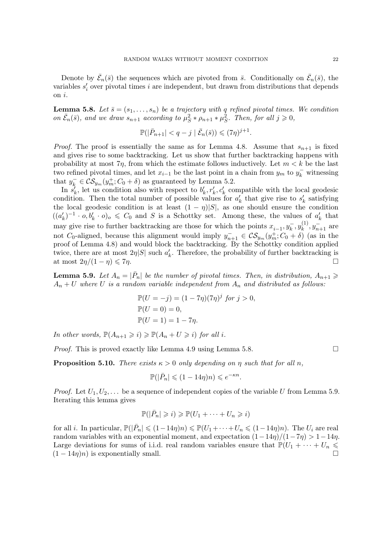Denote by  $\bar{\mathcal{E}}_n(\bar{s})$  the sequences which are pivoted from  $\bar{s}$ . Conditionally on  $\bar{\mathcal{E}}_n(\bar{s})$ , the variables  $s_i'$  over pivotal times i are independent, but drawn from distributions that depends on i.

<span id="page-21-0"></span>**Lemma 5.8.** Let  $\bar{s} = (s_1, \ldots, s_n)$  be a trajectory with q refined pivotal times. We condition on  $\bar{\mathcal{E}}_n(\bar{s})$ , and we draw  $s_{n+1}$  according to  $\mu_S^2 * \rho_{n+1} * \mu_S^2$ . Then, for all  $j \geqslant 0$ ,

$$
\mathbb{P}(|\bar{P}_{n+1}| < q - j \mid \bar{\mathcal{E}}_n(\bar{s})) \leqslant (7\eta)^{j+1}.
$$

*Proof.* The proof is essentially the same as for Lemma [4.8.](#page-13-0) Assume that  $s_{n+1}$  is fixed and gives rise to some backtracking. Let us show that further backtracking happens with probability at most  $7\eta$ , from which the estimate follows inductively. Let  $m < k$  be the last two refined pivotal times, and let  $x_{i-1}$  be the last point in a chain from  $y_m$  to  $y_k^-$  witnessing that  $y_k^- \in \mathcal{CS}_{y_m}(y_m^+; C_0 + \delta)$  as guaranteed by Lemma [5.2.](#page-18-0)

In  $s'_k$ , let us condition also with respect to  $b'_k, r'_k, c'_k$  compatible with the local geodesic condition. Then the total number of possible values for  $a'_k$  that give rise to  $s'_k$  satisfying the local geodesic condition is at least  $(1 - \eta)|S|$ , as one should ensure the condition  $((a'_k)^{-1} \cdot o, b'_k \cdot o)_o \leq C_0$  and S is a Schottky set. Among these, the values of  $a'_k$  that may give rise to further backtracking are those for which the points  $x_{i-1}, y_k^-, y_k^{(1)}$  $y_k^{(1)}, y_{n+1}^-$  are not C<sub>0</sub>-aligned, because this alignment would imply  $y_{n+1}^- \in \mathcal{CS}_{y_m}(y_m^+; C_0 + \delta)$  (as in the proof of Lemma [4.8\)](#page-13-0) and would block the backtracking. By the Schottky condition applied twice, there are at most  $2\eta|S|$  such  $a'_k$ . Therefore, the probability of further backtracking is at most  $2\eta/(1-\eta) \leq 7\eta$ .

<span id="page-21-1"></span>**Lemma 5.9.** Let  $A_n = |\bar{P}_n|$  be the number of pivotal times. Then, in distribution,  $A_{n+1} \geq$  $A_n + U$  where U is a random variable independent from  $A_n$  and distributed as follows:

$$
\mathbb{P}(U = -j) = (1 - 7\eta)(7\eta)^j \text{ for } j > 0,
$$
  
\n
$$
\mathbb{P}(U = 0) = 0,
$$
  
\n
$$
\mathbb{P}(U = 1) = 1 - 7\eta.
$$

In other words,  $\mathbb{P}(A_{n+1} \geq i) \geq \mathbb{P}(A_n + U \geq i)$  for all i.

*Proof.* This is proved exactly like Lemma [4.9](#page-14-1) using Lemma [5.8.](#page-21-0)

<span id="page-21-2"></span>**Proposition 5.10.** There exists  $\kappa > 0$  only depending on  $\eta$  such that for all  $n$ ,

$$
\mathbb{P}(|\bar{P}_n| \leq (1 - 14\eta)n) \leq e^{-\kappa n}.
$$

*Proof.* Let  $U_1, U_2, \ldots$  be a sequence of independent copies of the variable U from Lemma [5.9.](#page-21-1) Iterating this lemma gives

$$
\mathbb{P}(|\bar{P}_n| \geq i) \geq \mathbb{P}(U_1 + \cdots + U_n \geq i)
$$

for all *i*. In particular,  $\mathbb{P}(|\bar{P}_n| \leqslant (1-14\eta)n) \leqslant \mathbb{P}(U_1+\cdots+U_n \leqslant (1-14\eta)n)$ . The  $U_i$  are real random variables with an exponential moment, and expectation  $(1-14\eta)/(1-7\eta) > 1-14\eta$ . Large deviations for sums of i.i.d. real random variables ensure that  $\mathbb{P}(U_1 + \cdots + U_n \leq$  $(1 - 14\eta)n$  is exponentially small.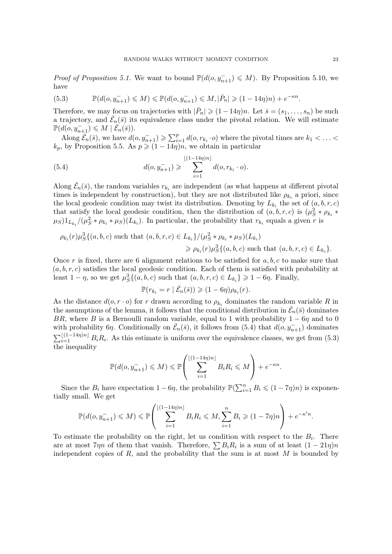*Proof of Proposition [5.1.](#page-17-1)* We want to bound  $\mathbb{P}(d(o, y_{n+1}^{-}) \leq M)$ . By Proposition [5.10,](#page-21-2) we have

<span id="page-22-1"></span>(5.3) 
$$
\mathbb{P}(d(o, y_{n+1}^-) \leq M) \leq \mathbb{P}(d(o, y_{n+1}^-) \leq M, |\bar{P}_n| \geq (1 - 14\eta)n) + e^{-\kappa n}.
$$

Therefore, we may focus on trajectories with  $|\bar{P}_n| \geq (1 - 14\eta)n$ . Let  $\bar{s} = (s_1, \ldots, s_n)$  be such a trajectory, and  $\bar{\mathcal{E}}_n(\bar{s})$  its equivalence class under the pivotal relation. We will estimate  $\mathbb{P}(d(o, y_{n+1}^-) \leq M \mid \overline{\mathcal{E}}_n(\overline{s})).$ 

Along  $\overline{\mathcal{E}}_n(\overline{s})$ , we have  $d(o, y_{n+1}^-) \geq \sum_{i=1}^p d(o, r_{k_i} \cdot o)$  where the pivotal times are  $k_1 < \ldots <$  $k_p$ , by Proposition [5.5.](#page-20-1) As  $p \geqslant (1 - 14\eta)n$ , we obtain in particular

<span id="page-22-0"></span>(5.4) 
$$
d(o, y_{n+1}^-) \geqslant \sum_{i=1}^{\lfloor (1-14\eta)n \rfloor} d(o, r_{k_i} \cdot o).
$$

Along  $\bar{\mathcal{E}}_n(\bar{s})$ , the random variables  $r_{k_i}$  are independent (as what happens at different pivotal times is independent by construction), but they are not distributed like  $\rho_{k_i}$  a priori, since the local geodesic condition may twist its distribution. Denoting by  $L_{k_i}$  the set of  $(a, b, r, c)$ that satisfy the local geodesic condition, then the distribution of  $(a, b, r, c)$  is  $(\mu_S^2 * \rho_{k_i} *$  $(\mu_S)1_{L_{k_i}}/(\mu_S^2 * \rho_{k_i} * \mu_S)(L_{k_i})$ . In particular, the probability that  $r_{k_i}$  equals a given r is

$$
\rho_{k_i}(r) \mu_S^3\{(a, b, c) \text{ such that } (a, b, r, c) \in L_{k_i}\}/(\mu_S^2 * \rho_{k_i} * \mu_S)(L_{k_i})
$$
  

$$
\geq \rho_{k_i}(r) \mu_S^3\{(a, b, c) \text{ such that } (a, b, r, c) \in L_{k_i}\}.
$$

Once r is fixed, there are 6 alignment relations to be satisfied for  $a, b, c$  to make sure that  $(a, b, r, c)$  satisfies the local geodesic condition. Each of them is satisfied with probability at least  $1 - \eta$ , so we get  $\mu_S^3\{(a, b, c) \text{ such that } (a, b, r, c) \in L_{k_i}\}\geqslant 1 - 6\eta$ . Finally,

$$
\mathbb{P}(r_{k_i}=r \mid \bar{\mathcal{E}}_n(\bar{s})) \geqslant (1-6\eta)\rho_{k_i}(r).
$$

As the distance  $d(o, r \cdot o)$  for r drawn according to  $\rho_{k_i}$  dominates the random variable R in the assumptions of the lemma, it follows that the conditional distribution in  $\bar{\mathcal{E}}_n(\bar{s})$  dominates BR, where B is a Bernoulli random variable, equal to 1 with probability  $1 - 6\eta$  and to 0 with probability 6η. Conditionally on  $\bar{\mathcal{E}}_n(\bar{s})$ , it follows from  $(5.4)$  that  $d(o, y_{n+1}^-)$  dominates  $\sum_{i=1}^{\lfloor (1-14\eta)n \rfloor} B_i R_i$ . As this estimate is uniform over the equivalence classes, we get from [\(5.3\)](#page-22-1) the inequality

$$
\mathbb{P}(d(o, y_{n+1}^-) \leqslant M) \leqslant \mathbb{P}\left(\sum_{i=1}^{\lfloor(1-14\eta)n\rfloor} B_i R_i \leqslant M\right) + e^{-\kappa n}.
$$

Since the  $B_i$  have expectation  $1 - 6\eta$ , the probability  $\mathbb{P}(\sum_{i=1}^n B_i \leq (1 - 7\eta)n)$  is exponentially small. We get

$$
\mathbb{P}(d(o, y_{n+1}^-) \leqslant M) \leqslant \mathbb{P}\left(\sum_{i=1}^{\lfloor(1-14\eta)n\rfloor} B_i R_i \leqslant M, \sum_{i=1}^n B_i \geqslant (1-7\eta)n\right) + e^{-\kappa'n}.
$$

To estimate the probability on the right, let us condition with respect to the  $B_i$ . There are at most  $7\eta n$  of them that vanish. Therefore,  $\sum B_i R_i$  is a sum of at least  $(1 - 21\eta)n$ independent copies of  $R$ , and the probability that the sum is at most  $M$  is bounded by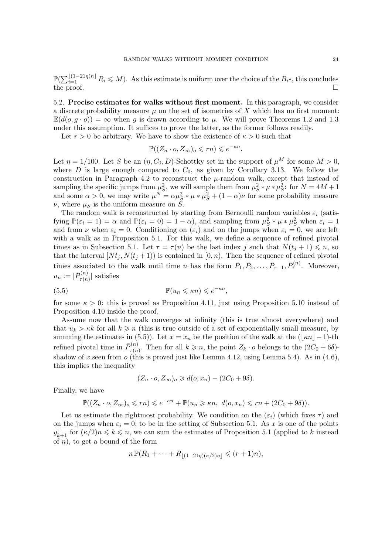$\mathbb{P}(\sum_{i=1}^{\lfloor (1-21\eta)n\rfloor} R_i \leqslant M)$ . As this estimate is uniform over the choice of the  $B_i$ s, this concludes the proof.  $\Box$ 

5.2. Precise estimates for walks without first moment. In this paragraph, we consider a discrete probability measure  $\mu$  on the set of isometries of X which has no first moment:  $\mathbb{E}(d(o,q \cdot o)) = \infty$  when q is drawn according to  $\mu$ . We will prove Theorems [1.2](#page-1-1) and [1.3](#page-1-2) under this assumption. It suffices to prove the latter, as the former follows readily.

Let  $r > 0$  be arbitrary. We have to show the existence of  $\kappa > 0$  such that

$$
\mathbb{P}((Z_n \cdot o, Z_{\infty})_o \leqslant rn) \leqslant e^{-\kappa n}.
$$

Let  $\eta = 1/100$ . Let S be an  $(\eta, C_0, D)$ -Schottky set in the support of  $\mu^M$  for some  $M > 0$ , where D is large enough compared to  $C_0$ , as given by Corollary [3.13.](#page-10-3) We follow the construction in Paragraph [4.2](#page-14-0) to reconstruct the  $\mu$ -random walk, except that instead of sampling the specific jumps from  $\mu_S^2$ , we will sample them from  $\mu_S^2 * \mu * \mu_S^2$ : for  $N = 4M + 1$ and some  $\alpha > 0$ , we may write  $\mu^N = \alpha \mu_S^2 * \mu * \mu_S^2 + (1 - \alpha)\nu$  for some probability measure  $\nu$ , where  $\mu_S$  is the uniform measure on S.

The random walk is reconstructed by starting from Bernoulli random variables  $\varepsilon_i$  (satisfying  $\mathbb{P}(\varepsilon_i = 1) = \alpha$  and  $\mathbb{P}(\varepsilon_i = 0) = 1 - \alpha$ , and sampling from  $\mu_S^2 * \mu * \mu_S^2$  when  $\varepsilon_i = 1$ and from  $\nu$  when  $\varepsilon_i = 0$ . Conditioning on  $(\varepsilon_i)$  and on the jumps when  $\varepsilon_i = 0$ , we are left with a walk as in Proposition [5.1.](#page-17-1) For this walk, we define a sequence of refined pivotal times as in Subsection [5.1.](#page-17-2) Let  $\tau = \tau(n)$  be the last index j such that  $N(t_i + 1) \leq n$ , so that the interval  $[N t_j, N(t_j + 1)]$  is contained in  $[0, n)$ . Then the sequence of refined pivotal times associated to the walk until time n has the form  $\bar{P}_1, \bar{P}_2, \ldots, \bar{P}_{\tau-1}, \bar{P}_{\tau}^{(n)}$ . Moreover,  $u_n := |\bar{P}_{\tau(n)}^{(n)}|$  $\left| \frac{\mathbf{p}(n)}{\tau(n)} \right|$  satisfies

(5.5) 
$$
\mathbb{P}(u_n \leq \kappa n) \leq e^{-\kappa n},
$$

for some  $\kappa > 0$ : this is proved as Proposition [4.11,](#page-15-0) just using Proposition [5.10](#page-21-2) instead of Proposition [4.10](#page-14-2) inside the proof.

Assume now that the walk converges at infinity (this is true almost everywhere) and that  $u_k > \kappa k$  for all  $k \geq n$  (this is true outside of a set of exponentially small measure, by summing the estimates in [\(5.5\)](#page-23-0)). Let  $x = x_n$  be the position of the walk at the ([ $\kappa n$ ] –1)-th refined pivotal time in  $\bar{P}_{\tau(n)}^{(n)}$  $z_{\tau(n)}^{(n)}$ . Then for all  $k \geq n$ , the point  $Z_k \cdot o$  belongs to the  $(2C_0 + 6\delta)$ -shadow of x seen from o (this is proved just like Lemma [4.12,](#page-16-0) using Lemma [5.4\)](#page-20-0). As in [\(4.6\)](#page-16-4), this implies the inequality

<span id="page-23-0"></span>
$$
(Z_n \cdot o, Z_{\infty})_o \geq d(o, x_n) - (2C_0 + 9\delta).
$$

Finally, we have

$$
\mathbb{P}((Z_n \cdot o, Z_\infty)_o \leqslant rn) \leqslant e^{-\kappa n} + \mathbb{P}(u_n \geqslant \kappa n, \ d(o, x_n) \leqslant rn + (2C_0 + 9\delta)).
$$

Let us estimate the rightmost probability. We condition on the  $(\varepsilon_i)$  (which fixes  $\tau$ ) and on the jumps when  $\varepsilon_i = 0$ , to be in the setting of Subsection [5.1.](#page-17-2) As x is one of the points  $y_{k+1}^-$  for  $(\kappa/2)n \leq k \leq n$ , we can sum the estimates of Proposition [5.1](#page-17-1) (applied to k instead of  $n$ , to get a bound of the form

$$
n\mathbb{P}(R_1+\cdots+R_{|(1-21\eta)(\kappa/2)n|} \leqslant (r+1)n),
$$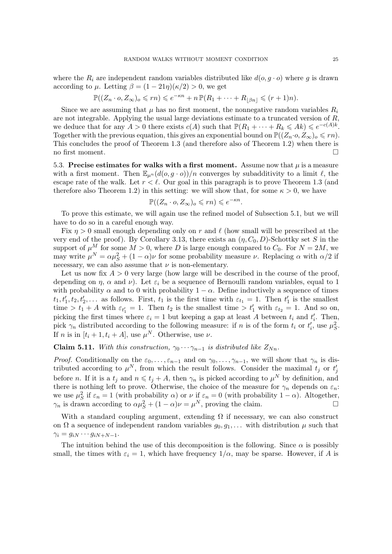where the  $R_i$  are independent random variables distributed like  $d(o, g \cdot o)$  where g is drawn according to  $\mu$ . Letting  $\beta = (1 - 21\eta)(\kappa/2) > 0$ , we get

$$
\mathbb{P}((Z_n \cdot o, Z_\infty)_o \leqslant rn) \leqslant e^{-\kappa n} + n \, \mathbb{P}(R_1 + \dots + R_{\lfloor \beta n \rfloor} \leqslant (r+1)n).
$$

Since we are assuming that  $\mu$  has no first moment, the nonnegative random variables  $R_i$ are not integrable. Applying the usual large deviations estimate to a truncated version of R, we deduce that for any  $A > 0$  there exists  $c(A)$  such that  $\mathbb{P}(R_1 + \cdots + R_k \leqslant Ak) \leqslant e^{-c(A)k}$ . Together with the previous equation, this gives an exponential bound on  $\mathbb{P}((Z_n \cdot o, Z_\infty)_o \leqslant rn)$ . This concludes the proof of Theorem [1.3](#page-1-2) (and therefore also of Theorem [1.2\)](#page-1-1) when there is no first moment.  $\Box$ 

<span id="page-24-0"></span>5.3. Precise estimates for walks with a first moment. Assume now that  $\mu$  is a measure with a first moment. Then  $\mathbb{E}_{\mu^n}(d(o, g \cdot o))/n$  converges by subadditivity to a limit  $\ell$ , the escape rate of the walk. Let  $r < \ell$ . Our goal in this paragraph is to prove Theorem [1.3](#page-1-2) (and therefore also Theorem [1.2\)](#page-1-1) in this setting: we will show that, for some  $\kappa > 0$ , we have

$$
\mathbb{P}((Z_n \cdot o, Z_{\infty})_o \leqslant rn) \leqslant e^{-\kappa n}.
$$

To prove this estimate, we will again use the refined model of Subsection [5.1,](#page-17-2) but we will have to do so in a careful enough way.

Fix  $\eta > 0$  small enough depending only on r and  $\ell$  (how small will be prescribed at the very end of the proof). By Corollary [3.13,](#page-10-3) there exists an  $(\eta, C_0, D)$ -Schottky set S in the support of  $\mu^M$  for some  $M > 0$ , where D is large enough compared to  $C_0$ . For  $N = 2M$ , we may write  $\mu^N = \alpha \mu_S^2 + (1 - \alpha)\nu$  for some probability measure  $\nu$ . Replacing  $\alpha$  with  $\alpha/2$  if necessary, we can also assume that  $\nu$  is non-elementary.

Let us now fix  $A > 0$  very large (how large will be described in the course of the proof, depending on  $\eta$ ,  $\alpha$  and  $\nu$ ). Let  $\varepsilon_i$  be a sequence of Bernoulli random variables, equal to 1 with probability  $\alpha$  and to 0 with probability  $1 - \alpha$ . Define inductively a sequence of times  $t_1, t'_1, t_2, t'_2, \ldots$  as follows. First,  $t_1$  is the first time with  $\varepsilon_{t_1} = 1$ . Then  $t'_1$  is the smallest time  $>t_1 + A$  with  $\varepsilon_{t_1} = 1$ . Then  $t_2$  is the smallest time  $>t_1$  with  $\varepsilon_{t_2} = 1$ . And so on, picking the first times where  $\varepsilon_i = 1$  but keeping a gap at least A between  $t_i$  and  $t'_i$ . Then, pick  $\gamma_n$  distributed according to the following measure: if n is of the form  $t_i$  or  $t'_i$ , use  $\mu_S^2$ . If *n* is in  $[t_i + 1, t_i + A]$ , use  $\mu^N$ . Otherwise, use  $\nu$ .

Claim 5.11. With this construction,  $\gamma_0 \cdots \gamma_{n-1}$  is distributed like  $Z_{Nn}$ .

*Proof.* Conditionally on the  $\varepsilon_0, \ldots, \varepsilon_{n-1}$  and on  $\gamma_0, \ldots, \gamma_{n-1}$ , we will show that  $\gamma_n$  is distributed according to  $\mu^N$ , from which the result follows. Consider the maximal  $t_j$  or  $t'_j$ before n. If it is a  $t_j$  and  $n \leqslant t_j + A$ , then  $\gamma_n$  is picked according to  $\mu^N$  by definition, and there is nothing left to prove. Otherwise, the choice of the measure for  $\gamma_n$  depends on  $\varepsilon_n$ . we use  $\mu_S^2$  if  $\varepsilon_n = 1$  (with probability  $\alpha$ ) or  $\nu$  if  $\varepsilon_n = 0$  (with probability  $1 - \alpha$ ). Altogether,  $\gamma_n$  is drawn according to  $\alpha \mu_S^2 + (1 - \alpha)\nu = \mu^N$ , proving the claim.

With a standard coupling argument, extending  $\Omega$  if necessary, we can also construct on  $\Omega$  a sequence of independent random variables  $g_0, g_1, \ldots$  with distribution  $\mu$  such that  $\gamma_i = g_{iN} \cdots g_{iN+N-1}.$ 

The intuition behind the use of this decomposition is the following. Since  $\alpha$  is possibly small, the times with  $\varepsilon_i = 1$ , which have frequency  $1/\alpha$ , may be sparse. However, if A is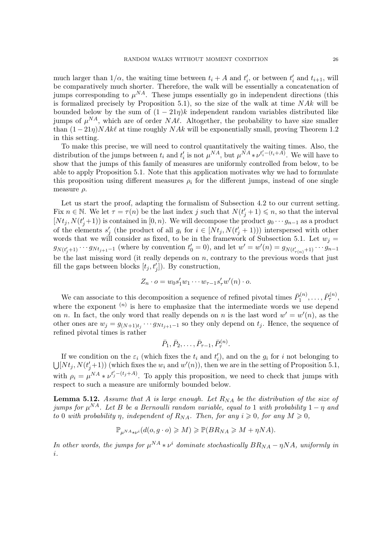much larger than  $1/\alpha$ , the waiting time between  $t_i + A$  and  $t'_i$ , or between  $t'_i$  and  $t_{i+1}$ , will be comparatively much shorter. Therefore, the walk will be essentially a concatenation of jumps corresponding to  $\mu^{NA}$ . These jumps essentially go in independent directions (this is formalized precisely by Proposition [5.1\)](#page-17-1), so the size of the walk at time  $NAk$  will be bounded below by the sum of  $(1 - 21\eta)k$  independent random variables distributed like jumps of  $\mu^{NA}$ , which are of order NA $\ell$ . Altogether, the probability to have size smaller than  $(1 - 21\eta)NAk\ell$  at time roughly  $NAk$  will be exponentially small, proving Theorem [1.2](#page-1-1) in this setting.

To make this precise, we will need to control quantitatively the waiting times. Also, the distribution of the jumps between  $t_i$  and  $t'_i$  is not  $\mu^{NA}$ , but  $\mu^{NA} * \nu^{t'_i - (t_i + A)}$ . We will have to show that the jumps of this family of measures are uniformly controlled from below, to be able to apply Proposition [5.1.](#page-17-1) Note that this application motivates why we had to formulate this proposition using different measures  $\rho_i$  for the different jumps, instead of one single measure  $\rho$ .

Let us start the proof, adapting the formalism of Subsection [4.2](#page-14-0) to our current setting. Fix  $n \in \mathbb{N}$ . We let  $\tau = \tau(n)$  be the last index j such that  $N(t'_j + 1) \leqslant n$ , so that the interval  $[Nt_j, N(t'_j+1)]$  is contained in  $[0, n)$ . We will decompose the product  $g_0 \cdots g_{n-1}$  as a product of the elements  $s'_j$  (the product of all  $g_i$  for  $i \in [Nt_j, N(t'_j + 1))]$ ) interspersed with other words that we will consider as fixed, to be in the framework of Subsection [5.1.](#page-17-2) Let  $w_j =$  $g_{N(t'_{j}+1)} \cdots g_{N(t_{j+1}-1)}$  (where by convention  $t'_{0} = 0$ ), and let  $w' = w'(n) = g_{N(t'_{\tau(n)}+1)} \cdots g_{n-1}$ be the last missing word (it really depends on  $n$ , contrary to the previous words that just fill the gaps between blocks  $[t_j, t'_j]$ ). By construction,

$$
Z_n \cdot o = w_0 s_1' w_1 \cdots w_{\tau-1} s_{\tau}' w'(n) \cdot o.
$$

We can associate to this decomposition a sequence of refined pivotal times  $\bar{P}_1^{(n)}$  $\bar P_1^{(n)},\ldots,\bar P_{\tau}^{(n)},$ where the exponent  $(n)$  is here to emphasize that the intermediate words we use depend on *n*. In fact, the only word that really depends on *n* is the last word  $w' = w'(n)$ , as the other ones are  $w_j = g_{(N+1)t_j} \cdots g_{N t_{j+1}-1}$  so they only depend on  $t_j$ . Hence, the sequence of refined pivotal times is rather

$$
\bar{P}_1, \bar{P}_2, \ldots, \bar{P}_{\tau-1}, \bar{P}_{\tau}^{(n)}
$$
.

If we condition on the  $\varepsilon_i$  (which fixes the  $t_i$  and  $t'_i$ ), and on the  $g_i$  for i not belonging to  $\bigcup [Nt_j, N(t'_j+1))$  (which fixes the  $w_i$  and  $w'(n)$ ), then we are in the setting of Proposition [5.1,](#page-17-1) with  $\rho_i = \mu^{NA} * \nu^{t'_j - (t_j + A)}$ . To apply this proposition, we need to check that jumps with respect to such a measure are uniformly bounded below.

<span id="page-25-0"></span>**Lemma 5.12.** Assume that A is large enough. Let  $R_{NA}$  be the distribution of the size of jumps for  $\mu^{NA}$ . Let B be a Bernoulli random variable, equal to 1 with probability  $1-\eta$  and to 0 with probability *η, independent of R<sub>NA</sub>. Then, for any i*  $\geq 0$ , for any  $M \geq 0$ ,

$$
\mathbb{P}_{\mu^{NA}*\nu^{i}}(d(o, g \cdot o) \geqslant M) \geqslant \mathbb{P}(BR_{NA} \geqslant M + \eta NA).
$$

In other words, the jumps for  $\mu^{NA} * \nu^i$  dominate stochastically  $BR_{NA} - \eta NA$ , uniformly in i.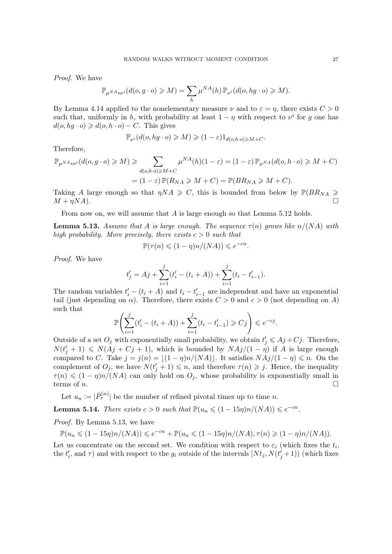Proof. We have

$$
\mathbb{P}_{\mu^{NA_{*\nu^i}}}(d(o,g \cdot o) \geqslant M) = \sum_h \mu^{NA}(h) \, \mathbb{P}_{\nu^i}(d(o, hg \cdot o) \geqslant M).
$$

By Lemma [4.14](#page-16-5) applied to the nonelementary measure  $\nu$  and to  $\varepsilon = \eta$ , there exists  $C > 0$ such that, uniformly in h, with probability at least  $1 - \eta$  with respect to  $\nu^i$  for g one has  $d(o, hg \cdot o) \geq d(o, h \cdot o) - C$ . This gives

$$
\mathbb{P}_{\nu^{i}}(d(o, hg \cdot o) \geqslant M) \geqslant (1-\varepsilon)1_{d(o, h \cdot o) \geqslant M+C}.
$$

Therefore,

$$
\mathbb{P}_{\mu^{NA_{\ast\nu^{i}}}}(d(o,g\cdot o)\geqslant M)\geqslant \sum_{d(o,h\cdot o)\geqslant M+C}\mu^{NA}(h)(1-\varepsilon)=(1-\varepsilon)\,\mathbb{P}_{\mu^{NA}}(d(o,h\cdot o)\geqslant M+C)
$$
\n
$$
=(1-\varepsilon)\,\mathbb{P}(R_{NA}\geqslant M+C)=\mathbb{P}(BR_{NA}\geqslant M+C).
$$

Taking A large enough so that  $\eta N A \geq C$ , this is bounded from below by  $\mathbb{P}(BR_{NA} \geq$  $M + \eta N A$ ).

From now on, we will assume that A is large enough so that Lemma [5.12](#page-25-0) holds.

<span id="page-26-0"></span>**Lemma 5.13.** Assume that A is large enough. The sequence  $\tau(n)$  grows like  $n/(NA)$  with high probability. More precisely, there exists  $c > 0$  such that

$$
\mathbb{P}(\tau(n) \leq (1 - \eta)n/(NA)) \leq e^{-cn}.
$$

Proof. We have

$$
t'_{j} = Aj + \sum_{i=1}^{j} (t'_{i} - (t_{i} + A)) + \sum_{i=1}^{j} (t_{i} - t'_{i-1}).
$$

The random variables  $t'_{i} - (t_{i} + A)$  and  $t_{i} - t'_{i-1}$  are independent and have an exponential tail (just depending on  $\alpha$ ). Therefore, there exists  $C > 0$  and  $c > 0$  (not depending on A) such that  $j \neq j$ 

$$
\mathbb{P}\left(\sum_{i=1}^{j} (t'_i - (t_i + A)) + \sum_{i=1}^{j} (t_i - t'_{i-1}) \geq Cj\right) \leq e^{-cj}.
$$

Outside of a set  $O_j$  with exponentially small probability, we obtain  $t'_j \leqslant A_j + C_j$ . Therefore,  $N(t'_{j} + 1) \leq N(Aj + Cj + 1)$ , which is bounded by  $N\frac{Aj}{(1 - \eta)}$  if A is large enough compared to C. Take  $j = j(n) = \lfloor(1 - \eta)n/(NA)\rfloor$ . It satisfies  $NAj/(1 - \eta) \leq n$ . On the complement of  $O_j$ , we have  $N(t'_j + 1) \leq n$ , and therefore  $\tau(n) \geq j$ . Hence, the inequality  $\tau(n) \leq (1 - \eta)n/(NA)$  can only hold on  $O_i$ , whose probability is exponentially small in terms of *n*.

Let  $u_n := |\bar{P}_{\tau}^{(n)}|$  be the number of refined pivotal times up to time n.

<span id="page-26-1"></span>**Lemma 5.14.** There exists  $c > 0$  such that  $\mathbb{P}(u_n \leq (1 - 15\eta)n/(NA)) \leq e^{-cn}$ .

Proof. By Lemma [5.13,](#page-26-0) we have

$$
\mathbb{P}(u_n \leq (1 - 15\eta)n/(NA)) \leq e^{-cn} + \mathbb{P}(u_n \leq (1 - 15\eta)n/(NA), \tau(n) \geq (1 - \eta)n/(NA)).
$$

Let us concentrate on the second set. We condition with respect to  $\varepsilon_i$  (which fixes the  $t_i$ , the  $t'_{i}$ , and  $\tau$ ) and with respect to the  $g_{i}$  outside of the intervals  $[Nt_{j}, N(t'_{j}+1))$  (which fixes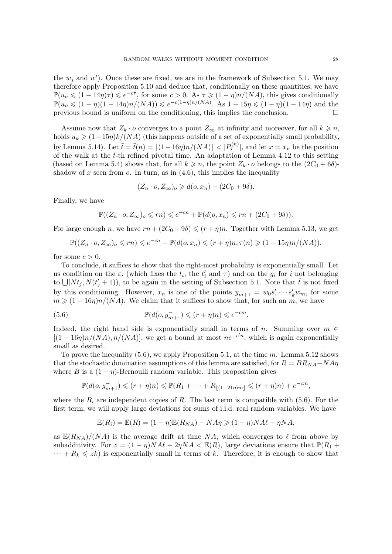the  $w_j$  and  $w'$ ). Once these are fixed, we are in the framework of Subsection [5.1.](#page-17-2) We may therefore apply Proposition [5.10](#page-21-2) and deduce that, conditionally on these quantities, we have  $\mathbb{P}(u_n \leq (1 - 14\eta)\tau) \leq e^{-c\tau}$ , for some  $c > 0$ . As  $\tau \geq (1 - \eta)n/(NA)$ , this gives conditionally  $\mathbb{P}(u_n \leq (1 - \eta)(1 - 14\eta)n/(NA)) \leq e^{-c(1 - \eta)n/(NA)}$ . As  $1 - 15\eta \leq (1 - \eta)(1 - 14\eta)$  and the previous bound is uniform on the conditioning, this implies the conclusion.

Assume now that  $Z_k \cdot o$  converges to a point  $Z_\infty$  at infinity and moreover, for all  $k \geq n$ , holds  $u_k \geq (1-15\eta)k/(NA)$  (this happens outside of a set of exponentially small probability, by Lemma [5.14\)](#page-26-1). Let  $\bar{t} = \bar{t}(n) = \lfloor (1 - 16\eta)n/(NA) \rfloor < |P_{\tau}^{(n)}|$ , and let  $x = x_n$  be the position of the walk at the  $\bar{t}$ -th refined pivotal time. An adaptation of Lemma [4.12](#page-16-0) to this setting (based on Lemma [5.4\)](#page-20-0) shows that, for all  $k \geq n$ , the point  $Z_k \cdot o$  belongs to the  $(2C_0 + 6\delta)$ shadow of x seen from  $\alpha$ . In turn, as in [\(4.6\)](#page-16-4), this implies the inequality

$$
(Z_n \cdot o, Z_{\infty})_o \geq d(o, x_n) - (2C_0 + 9\delta).
$$

Finally, we have

$$
\mathbb{P}((Z_n \cdot o, Z_\infty)_o \leqslant rn) \leqslant e^{-cn} + \mathbb{P}(d(o, x_n) \leqslant rn + (2C_0 + 9\delta)).
$$

For large enough n, we have  $rn + (2C_0 + 9\delta) \leq (r + \eta)n$ . Together with Lemma [5.13,](#page-26-0) we get

$$
\mathbb{P}((Z_n \cdot o, Z_\infty)_o \leqslant rn) \leqslant e^{-cn} + \mathbb{P}(d(o, x_n) \leqslant (r + \eta)n, \tau(n) \geqslant (1 - 15\eta)n/(NA)).
$$

for some  $c > 0$ .

To conclude, it suffices to show that the right-most probability is exponentially small. Let us condition on the  $\varepsilon_i$  (which fixes the  $t_i$ , the  $t'_i$  and  $\tau$ ) and on the  $g_i$  for i not belonging to  $\bigcup [Nt_j, N(t'_j + 1)],$  to be again in the setting of Subsection [5.1.](#page-17-2) Note that  $\bar{t}$  is not fixed by this conditioning. However,  $x_n$  is one of the points  $y_{m+1}^- = w_0 s_1' \cdots s_k' w_m$ , for some  $m \geq (1 - 16\eta)n/(NA)$ . We claim that it suffices to show that, for such an m, we have

<span id="page-27-0"></span>(5.6) 
$$
\mathbb{P}(d(o, y_{m+1}^-) \leqslant (r + \eta)n) \leqslant e^{-cm}.
$$

Indeed, the right hand side is exponentially small in terms of n. Summing over  $m \in$  $[(1 - 16\eta)n/(NA), n/(NA)]$ , we get a bound at most  $ne^{-c'n}$ , which is again exponentially small as desired.

To prove the inequality  $(5.6)$ , we apply Proposition [5.1,](#page-17-1) at the time m. Lemma [5.12](#page-25-0) shows that the stochastic domination assumptions of this lemma are satisfied, for  $R = BR_{NA} - NAT$ where B is a  $(1 - \eta)$ -Bernoulli random variable. This proposition gives

$$
\mathbb{P}(d(o, y_{m+1}^-) \leqslant (r+\eta)n) \leqslant \mathbb{P}(R_1 + \cdots + R_{\lfloor (1-21\eta)m \rfloor} \leqslant (r+\eta)n) + e^{-cm},
$$

where the  $R_i$  are independent copies of R. The last term is compatible with [\(5.6\)](#page-27-0). For the first term, we will apply large deviations for sums of i.i.d. real random variables. We have

$$
\mathbb{E}(R_i) = \mathbb{E}(R) = (1 - \eta)\mathbb{E}(R_{NA}) - NA\eta \geq (1 - \eta)NA\ell - \eta NA,
$$

as  $\mathbb{E}(R_{NA})/(NA)$  is the average drift at time NA, which converges to  $\ell$  from above by subadditivity. For  $z = (1 - \eta)NA\ell - 2\eta NA \leq \mathbb{E}(R)$ , large deviations ensure that  $\mathbb{P}(R_1 +$  $\cdots + R_k \leqslant zk$ ) is exponentially small in terms of k. Therefore, it is enough to show that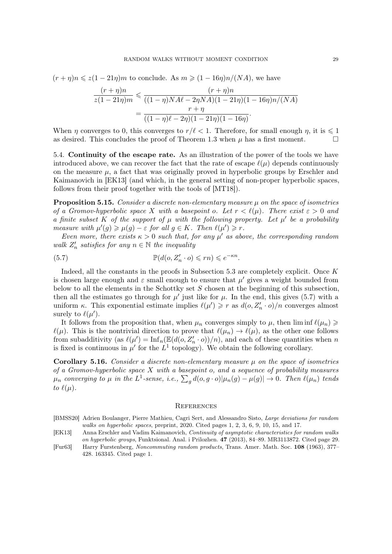<span id="page-28-4"></span>
$$
(r+\eta)n \leq z(1-21\eta)m
$$
 to conclude. As  $m \geq (1-16\eta)n/(NA)$ , we have

$$
\frac{(r+\eta)n}{z(1-21\eta)m} \leq \frac{(r+\eta)n}{((1-\eta)NA\ell - 2\eta NA)(1-21\eta)(1-16\eta)n/(NA)}
$$

$$
= \frac{r+\eta}{((1-\eta)\ell - 2\eta)(1-21\eta)(1-16\eta)}.
$$

When  $\eta$  converges to 0, this converges to  $r/\ell < 1$ . Therefore, for small enough  $\eta$ , it is  $\leq 1$ as desired. This concludes the proof of Theorem [1.3](#page-1-2) when  $\mu$  has a first moment.

5.4. Continuity of the escape rate. As an illustration of the power of the tools we have introduced above, we can recover the fact that the rate of escape  $\ell(\mu)$  depends continuously on the measure  $\mu$ , a fact that was originally proved in hyperbolic groups by Erschler and Kaimanovich in [\[EK13\]](#page-28-2) (and which, in the general setting of non-proper hyperbolic spaces, follows from their proof together with the tools of [\[MT18\]](#page-29-0)).

**Proposition 5.15.** Consider a discrete non-elementary measure  $\mu$  on the space of isometries of a Gromov-hyperbolic space X with a basepoint o. Let  $r < l(\mu)$ . There exist  $\varepsilon > 0$  and a finite subset K of the support of  $\mu$  with the following property. Let  $\mu'$  be a probability measure with  $\mu'(g) \geq \mu(g) - \varepsilon$  for all  $g \in K$ . Then  $\ell(\mu') \geq r$ .

Even more, there exists  $\kappa > 0$  such that, for any  $\mu'$  as above, the corresponding random walk  $Z'_n$  satisfies for any  $n \in \mathbb{N}$  the inequality

<span id="page-28-3"></span>(5.7) 
$$
\mathbb{P}(d(o, Z'_n \cdot o) \leqslant rn) \leqslant e^{-\kappa n}.
$$

Indeed, all the constants in the proofs in Subsection [5.3](#page-24-0) are completely explicit. Once K is chosen large enough and  $\varepsilon$  small enough to ensure that  $\mu'$  gives a weight bounded from below to all the elements in the Schottky set  $S$  chosen at the beginning of this subsection, then all the estimates go through for  $\mu'$  just like for  $\mu$ . In the end, this gives [\(5.7\)](#page-28-3) with a uniform  $\kappa$ . This exponential estimate implies  $\ell(\mu') \geq r$  as  $d(o, Z'_n \cdot o)/n$  converges almost surely to  $\ell(\mu')$ .

It follows from the proposition that, when  $\mu_n$  converges simply to  $\mu$ , then  $\liminf \ell(\mu_n) \geq$  $\ell(\mu)$ . This is the nontrivial direction to prove that  $\ell(\mu_n) \to \ell(\mu)$ , as the other one follows from subadditivity (as  $\ell(\mu') = \text{Inf}_n(\mathbb{E}(d(o, Z_n' \cdot o))/n)$ , and each of these quantities when n is fixed is continuous in  $\mu'$  for the  $L^1$  topology). We obtain the following corollary.

**Corollary 5.16.** Consider a discrete non-elementary measure  $\mu$  on the space of isometries of a Gromov-hyperbolic space  $X$  with a basepoint  $o$ , and a sequence of probability measures  $\mu_n$  converging to  $\mu$  in the  $L^1$ -sense, i.e.,  $\sum_g d(o,g\cdot o)|\mu_n(g)-\mu(g)|\to 0$ . Then  $\ell(\mu_n)$  tends to  $\ell(\mu)$ .

### **REFERENCES**

- <span id="page-28-1"></span>[BMSS20] Adrien Boulanger, Pierre Mathieu, Cagri Sert, and Alessandro Sisto, Large deviations for random walks on hyperbolic spaces, preprint, 2020. Cited pages [1,](#page-0-0) [2,](#page-1-4) [3,](#page-2-2) [6,](#page-5-0) [9,](#page-8-2) [10,](#page-9-1) [15,](#page-14-3) and [17.](#page-16-6)
- <span id="page-28-2"></span>[EK13] Anna Erschler and Vadim Kaimanovich, Continuity of asymptotic characteristics for random walks on hyperbolic groups, Funktsional. Anal. i Prilozhen. 47 (2013), 84–89. [MR3113872.](http://www.ams.org/mathscinet-getitem?mr=MR3113872) Cited page [29.](#page-28-4)
- <span id="page-28-0"></span>[Fur63] Harry Furstenberg, Noncommuting random products, Trans. Amer. Math. Soc. 108 (1963), 377– 428. [163345.](http://www.ams.org/mathscinet-getitem?mr=163345) Cited page [1.](#page-0-0)